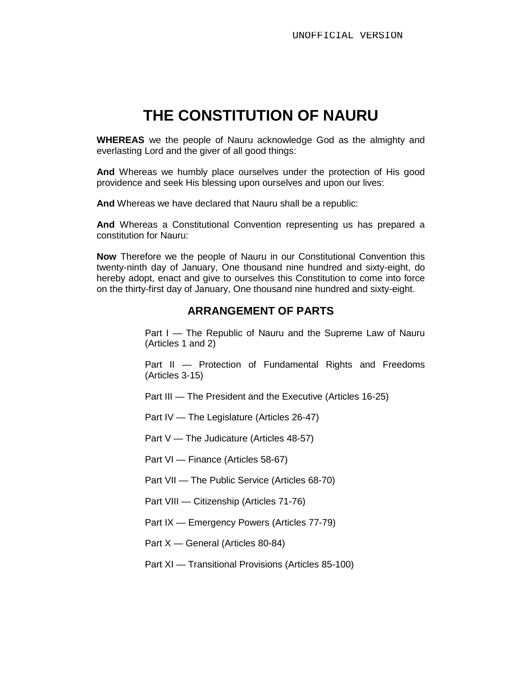# **THE CONSTITUTION OF NAURU**

**WHEREAS** we the people of Nauru acknowledge God as the almighty and everlasting Lord and the giver of all good things:

**And** Whereas we humbly place ourselves under the protection of His good providence and seek His blessing upon ourselves and upon our lives:

**And** Whereas we have declared that Nauru shall be a republic:

**And** Whereas a Constitutional Convention representing us has prepared a constitution for Nauru:

**Now** Therefore we the people of Nauru in our Constitutional Convention this twenty-ninth day of January, One thousand nine hundred and sixty-eight, do hereby adopt, enact and give to ourselves this Constitution to come into force on the thirty-first day of January, One thousand nine hundred and sixty-eight.

# **ARRANGEMENT OF PARTS**

Part I — The Republic of Nauru and the Supreme Law of Nauru (Articles 1 and 2)

Part II — Protection of Fundamental Rights and Freedoms (Articles 3-15)

Part III — The President and the Executive (Articles 16-25)

Part IV — The Legislature (Articles 26-47)

Part V — The Judicature (Articles 48-57)

Part VI — Finance (Articles 58-67)

Part VII — The Public Service (Articles 68-70)

Part VIII — Citizenship (Articles 71-76)

Part IX — Emergency Powers (Articles 77-79)

Part X — General (Articles 80-84)

Part XI — Transitional Provisions (Articles 85-100)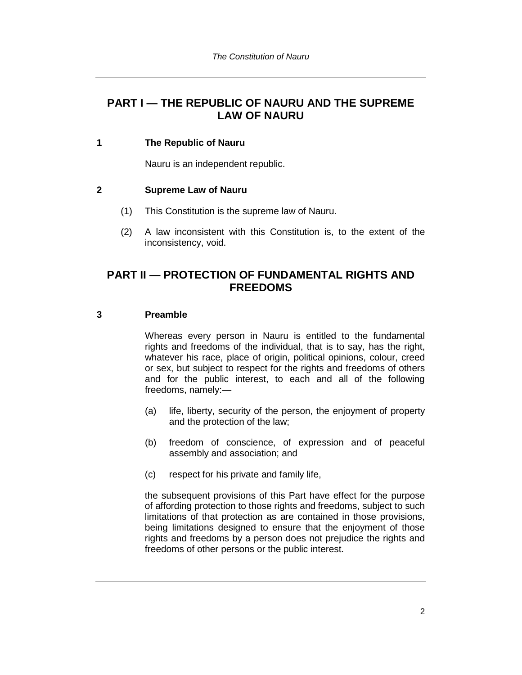# **PART I — THE REPUBLIC OF NAURU AND THE SUPREME LAW OF NAURU**

# **1 The Republic of Nauru**

Nauru is an independent republic.

#### **2 Supreme Law of Nauru**

- (1) This Constitution is the supreme law of Nauru.
- (2) A law inconsistent with this Constitution is, to the extent of the inconsistency, void.

# **PART II — PROTECTION OF FUNDAMENTAL RIGHTS AND FREEDOMS**

# **3 Preamble**

Whereas every person in Nauru is entitled to the fundamental rights and freedoms of the individual, that is to say, has the right, whatever his race, place of origin, political opinions, colour, creed or sex, but subject to respect for the rights and freedoms of others and for the public interest, to each and all of the following freedoms, namely:—

- (a) life, liberty, security of the person, the enjoyment of property and the protection of the law;
- (b) freedom of conscience, of expression and of peaceful assembly and association; and
- (c) respect for his private and family life,

the subsequent provisions of this Part have effect for the purpose of affording protection to those rights and freedoms, subject to such limitations of that protection as are contained in those provisions, being limitations designed to ensure that the enjoyment of those rights and freedoms by a person does not prejudice the rights and freedoms of other persons or the public interest.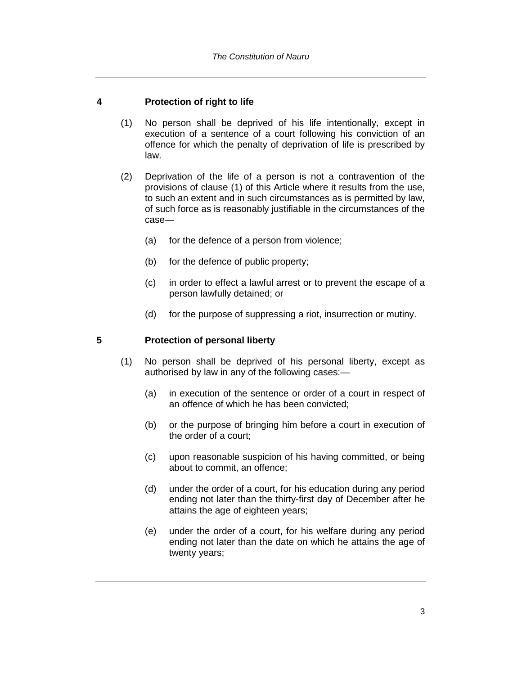# **4 Protection of right to life**

- (1) No person shall be deprived of his life intentionally, except in execution of a sentence of a court following his conviction of an offence for which the penalty of deprivation of life is prescribed by law.
- (2) Deprivation of the life of a person is not a contravention of the provisions of clause (1) of this Article where it results from the use, to such an extent and in such circumstances as is permitted by law, of such force as is reasonably justifiable in the circumstances of the case—
	- (a) for the defence of a person from violence;
	- (b) for the defence of public property;
	- (c) in order to effect a lawful arrest or to prevent the escape of a person lawfully detained; or
	- (d) for the purpose of suppressing a riot, insurrection or mutiny.

# **5 Protection of personal liberty**

- (1) No person shall be deprived of his personal liberty, except as authorised by law in any of the following cases:—
	- (a) in execution of the sentence or order of a court in respect of an offence of which he has been convicted;
	- (b) or the purpose of bringing him before a court in execution of the order of a court;
	- (c) upon reasonable suspicion of his having committed, or being about to commit, an offence;
	- (d) under the order of a court, for his education during any period ending not later than the thirty-first day of December after he attains the age of eighteen years;
	- (e) under the order of a court, for his welfare during any period ending not later than the date on which he attains the age of twenty years;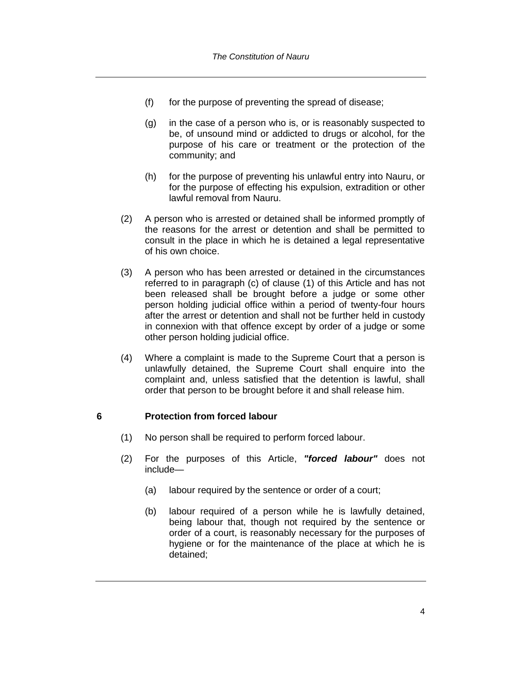- (f) for the purpose of preventing the spread of disease;
- (g) in the case of a person who is, or is reasonably suspected to be, of unsound mind or addicted to drugs or alcohol, for the purpose of his care or treatment or the protection of the community; and
- (h) for the purpose of preventing his unlawful entry into Nauru, or for the purpose of effecting his expulsion, extradition or other lawful removal from Nauru.
- (2) A person who is arrested or detained shall be informed promptly of the reasons for the arrest or detention and shall be permitted to consult in the place in which he is detained a legal representative of his own choice.
- (3) A person who has been arrested or detained in the circumstances referred to in paragraph (c) of clause (1) of this Article and has not been released shall be brought before a judge or some other person holding judicial office within a period of twenty-four hours after the arrest or detention and shall not be further held in custody in connexion with that offence except by order of a judge or some other person holding judicial office.
- (4) Where a complaint is made to the Supreme Court that a person is unlawfully detained, the Supreme Court shall enquire into the complaint and, unless satisfied that the detention is lawful, shall order that person to be brought before it and shall release him.

# **6 Protection from forced labour**

- (1) No person shall be required to perform forced labour.
- (2) For the purposes of this Article, *"forced labour"* does not include—
	- (a) labour required by the sentence or order of a court;
	- (b) labour required of a person while he is lawfully detained, being labour that, though not required by the sentence or order of a court, is reasonably necessary for the purposes of hygiene or for the maintenance of the place at which he is detained;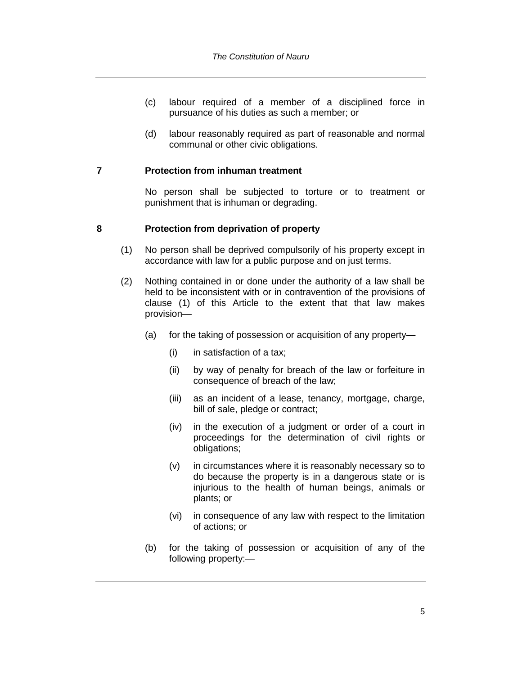- (c) labour required of a member of a disciplined force in pursuance of his duties as such a member; or
- (d) labour reasonably required as part of reasonable and normal communal or other civic obligations.

#### **7 Protection from inhuman treatment**

No person shall be subjected to torture or to treatment or punishment that is inhuman or degrading.

#### **8 Protection from deprivation of property**

- (1) No person shall be deprived compulsorily of his property except in accordance with law for a public purpose and on just terms.
- (2) Nothing contained in or done under the authority of a law shall be held to be inconsistent with or in contravention of the provisions of clause (1) of this Article to the extent that that law makes provision—
	- (a) for the taking of possession or acquisition of any property—
		- (i) in satisfaction of a tax;
		- (ii) by way of penalty for breach of the law or forfeiture in consequence of breach of the law;
		- (iii) as an incident of a lease, tenancy, mortgage, charge, bill of sale, pledge or contract;
		- (iv) in the execution of a judgment or order of a court in proceedings for the determination of civil rights or obligations;
		- (v) in circumstances where it is reasonably necessary so to do because the property is in a dangerous state or is injurious to the health of human beings, animals or plants; or
		- (vi) in consequence of any law with respect to the limitation of actions; or
	- (b) for the taking of possession or acquisition of any of the following property:—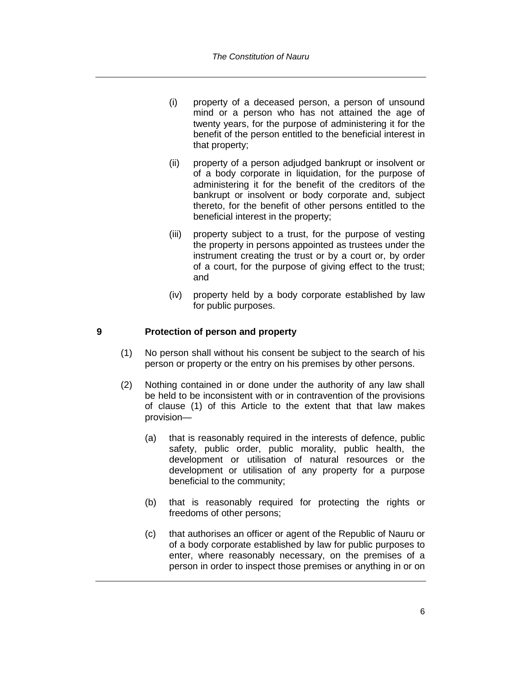- (i) property of a deceased person, a person of unsound mind or a person who has not attained the age of twenty years, for the purpose of administering it for the benefit of the person entitled to the beneficial interest in that property;
- (ii) property of a person adjudged bankrupt or insolvent or of a body corporate in liquidation, for the purpose of administering it for the benefit of the creditors of the bankrupt or insolvent or body corporate and, subject thereto, for the benefit of other persons entitled to the beneficial interest in the property;
- (iii) property subject to a trust, for the purpose of vesting the property in persons appointed as trustees under the instrument creating the trust or by a court or, by order of a court, for the purpose of giving effect to the trust; and
- (iv) property held by a body corporate established by law for public purposes.

#### **9 Protection of person and property**

- (1) No person shall without his consent be subject to the search of his person or property or the entry on his premises by other persons.
- (2) Nothing contained in or done under the authority of any law shall be held to be inconsistent with or in contravention of the provisions of clause (1) of this Article to the extent that that law makes provision—
	- (a) that is reasonably required in the interests of defence, public safety, public order, public morality, public health, the development or utilisation of natural resources or the development or utilisation of any property for a purpose beneficial to the community;
	- (b) that is reasonably required for protecting the rights or freedoms of other persons;
	- (c) that authorises an officer or agent of the Republic of Nauru or of a body corporate established by law for public purposes to enter, where reasonably necessary, on the premises of a person in order to inspect those premises or anything in or on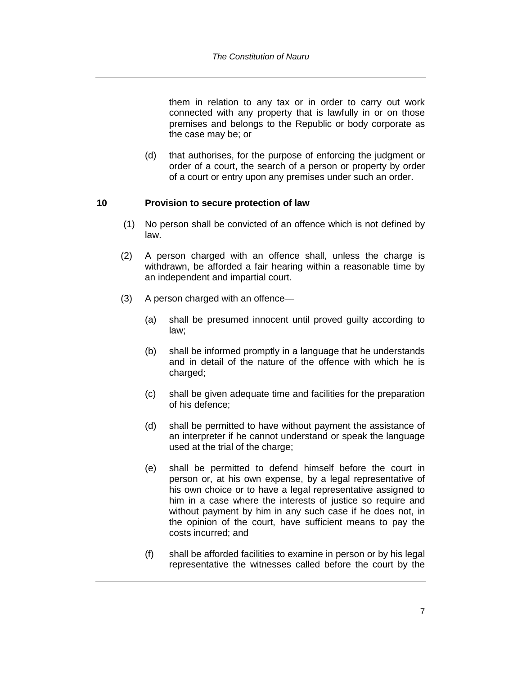them in relation to any tax or in order to carry out work connected with any property that is lawfully in or on those premises and belongs to the Republic or body corporate as the case may be; or

(d) that authorises, for the purpose of enforcing the judgment or order of a court, the search of a person or property by order of a court or entry upon any premises under such an order.

#### **10 Provision to secure protection of law**

- (1) No person shall be convicted of an offence which is not defined by law.
- (2) A person charged with an offence shall, unless the charge is withdrawn, be afforded a fair hearing within a reasonable time by an independent and impartial court.
- (3) A person charged with an offence—
	- (a) shall be presumed innocent until proved guilty according to law;
	- (b) shall be informed promptly in a language that he understands and in detail of the nature of the offence with which he is charged;
	- (c) shall be given adequate time and facilities for the preparation of his defence;
	- (d) shall be permitted to have without payment the assistance of an interpreter if he cannot understand or speak the language used at the trial of the charge;
	- (e) shall be permitted to defend himself before the court in person or, at his own expense, by a legal representative of his own choice or to have a legal representative assigned to him in a case where the interests of justice so require and without payment by him in any such case if he does not, in the opinion of the court, have sufficient means to pay the costs incurred; and
	- (f) shall be afforded facilities to examine in person or by his legal representative the witnesses called before the court by the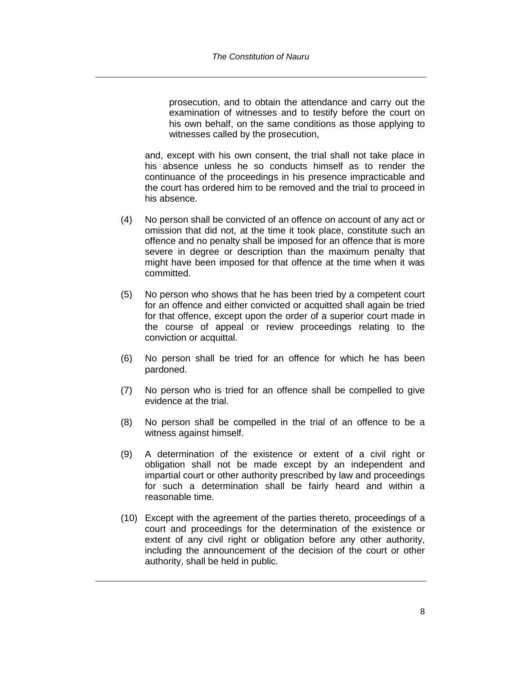prosecution, and to obtain the attendance and carry out the examination of witnesses and to testify before the court on his own behalf, on the same conditions as those applying to witnesses called by the prosecution,

and, except with his own consent, the trial shall not take place in his absence unless he so conducts himself as to render the continuance of the proceedings in his presence impracticable and the court has ordered him to be removed and the trial to proceed in his absence.

- (4) No person shall be convicted of an offence on account of any act or omission that did not, at the time it took place, constitute such an offence and no penalty shall be imposed for an offence that is more severe in degree or description than the maximum penalty that might have been imposed for that offence at the time when it was committed.
- (5) No person who shows that he has been tried by a competent court for an offence and either convicted or acquitted shall again be tried for that offence, except upon the order of a superior court made in the course of appeal or review proceedings relating to the conviction or acquittal.
- (6) No person shall be tried for an offence for which he has been pardoned.
- (7) No person who is tried for an offence shall be compelled to give evidence at the trial.
- (8) No person shall be compelled in the trial of an offence to be a witness against himself.
- (9) A determination of the existence or extent of a civil right or obligation shall not be made except by an independent and impartial court or other authority prescribed by law and proceedings for such a determination shall be fairly heard and within a reasonable time.
- (10) Except with the agreement of the parties thereto, proceedings of a court and proceedings for the determination of the existence or extent of any civil right or obligation before any other authority, including the announcement of the decision of the court or other authority, shall be held in public.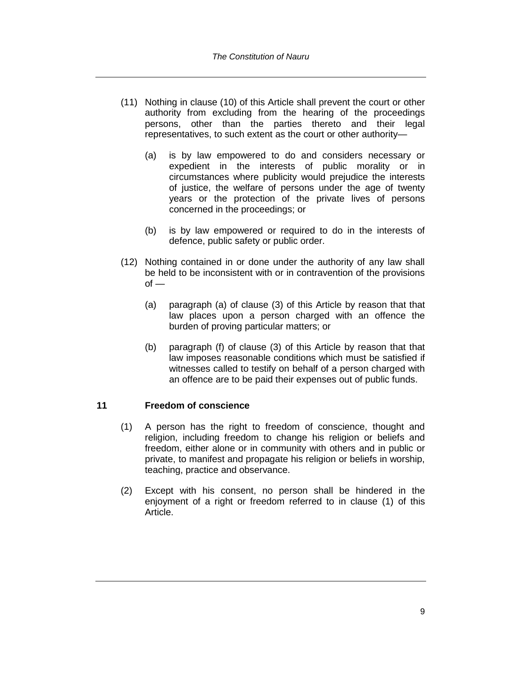- (11) Nothing in clause (10) of this Article shall prevent the court or other authority from excluding from the hearing of the proceedings persons, other than the parties thereto and their legal representatives, to such extent as the court or other authority—
	- (a) is by law empowered to do and considers necessary or expedient in the interests of public morality or in circumstances where publicity would prejudice the interests of justice, the welfare of persons under the age of twenty years or the protection of the private lives of persons concerned in the proceedings; or
	- (b) is by law empowered or required to do in the interests of defence, public safety or public order.
- (12) Nothing contained in or done under the authority of any law shall be held to be inconsistent with or in contravention of the provisions  $of -$ 
	- (a) paragraph (a) of clause (3) of this Article by reason that that law places upon a person charged with an offence the burden of proving particular matters; or
	- (b) paragraph (f) of clause (3) of this Article by reason that that law imposes reasonable conditions which must be satisfied if witnesses called to testify on behalf of a person charged with an offence are to be paid their expenses out of public funds.

# **11 Freedom of conscience**

- (1) A person has the right to freedom of conscience, thought and religion, including freedom to change his religion or beliefs and freedom, either alone or in community with others and in public or private, to manifest and propagate his religion or beliefs in worship, teaching, practice and observance.
- (2) Except with his consent, no person shall be hindered in the enjoyment of a right or freedom referred to in clause (1) of this Article.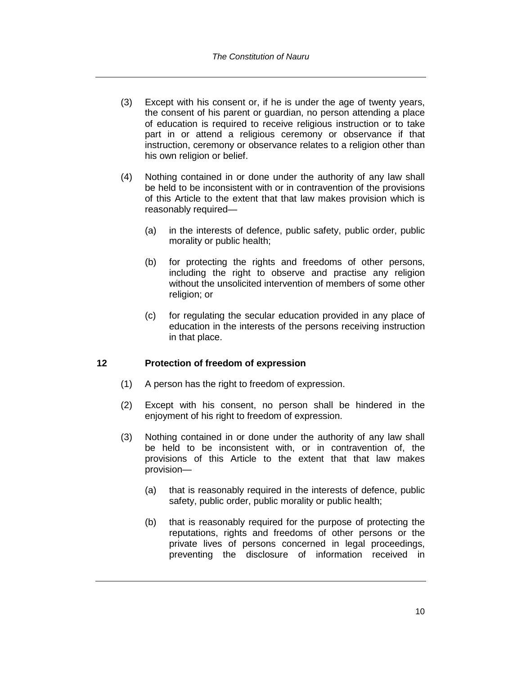- (3) Except with his consent or, if he is under the age of twenty years, the consent of his parent or guardian, no person attending a place of education is required to receive religious instruction or to take part in or attend a religious ceremony or observance if that instruction, ceremony or observance relates to a religion other than his own religion or belief.
- (4) Nothing contained in or done under the authority of any law shall be held to be inconsistent with or in contravention of the provisions of this Article to the extent that that law makes provision which is reasonably required—
	- (a) in the interests of defence, public safety, public order, public morality or public health;
	- (b) for protecting the rights and freedoms of other persons, including the right to observe and practise any religion without the unsolicited intervention of members of some other religion; or
	- (c) for regulating the secular education provided in any place of education in the interests of the persons receiving instruction in that place.

# **12 Protection of freedom of expression**

- (1) A person has the right to freedom of expression.
- (2) Except with his consent, no person shall be hindered in the enjoyment of his right to freedom of expression.
- (3) Nothing contained in or done under the authority of any law shall be held to be inconsistent with, or in contravention of, the provisions of this Article to the extent that that law makes provision—
	- (a) that is reasonably required in the interests of defence, public safety, public order, public morality or public health;
	- (b) that is reasonably required for the purpose of protecting the reputations, rights and freedoms of other persons or the private lives of persons concerned in legal proceedings, preventing the disclosure of information received in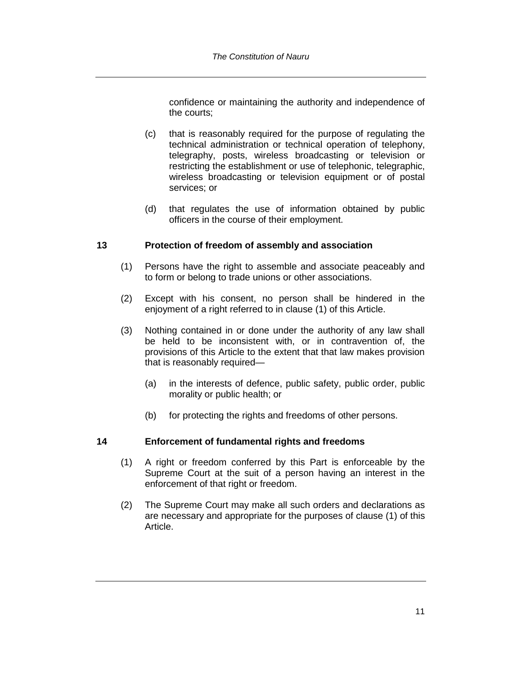confidence or maintaining the authority and independence of the courts;

- (c) that is reasonably required for the purpose of regulating the technical administration or technical operation of telephony, telegraphy, posts, wireless broadcasting or television or restricting the establishment or use of telephonic, telegraphic, wireless broadcasting or television equipment or of postal services; or
- (d) that regulates the use of information obtained by public officers in the course of their employment.

#### **13 Protection of freedom of assembly and association**

- (1) Persons have the right to assemble and associate peaceably and to form or belong to trade unions or other associations.
- (2) Except with his consent, no person shall be hindered in the enjoyment of a right referred to in clause (1) of this Article.
- (3) Nothing contained in or done under the authority of any law shall be held to be inconsistent with, or in contravention of, the provisions of this Article to the extent that that law makes provision that is reasonably required—
	- (a) in the interests of defence, public safety, public order, public morality or public health; or
	- (b) for protecting the rights and freedoms of other persons.

# **14 Enforcement of fundamental rights and freedoms**

- (1) A right or freedom conferred by this Part is enforceable by the Supreme Court at the suit of a person having an interest in the enforcement of that right or freedom.
- (2) The Supreme Court may make all such orders and declarations as are necessary and appropriate for the purposes of clause (1) of this Article.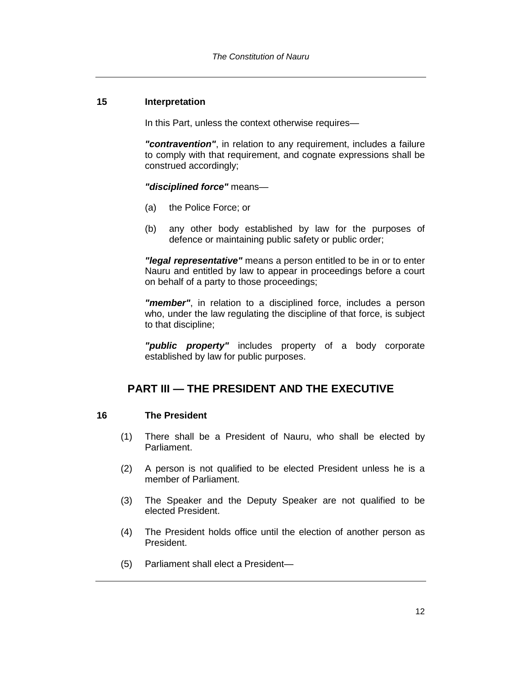#### **15 Interpretation**

In this Part, unless the context otherwise requires—

*"contravention"*, in relation to any requirement, includes a failure to comply with that requirement, and cognate expressions shall be construed accordingly;

*"disciplined force"* means—

- (a) the Police Force; or
- (b) any other body established by law for the purposes of defence or maintaining public safety or public order;

*"legal representative"* means a person entitled to be in or to enter Nauru and entitled by law to appear in proceedings before a court on behalf of a party to those proceedings;

*"member"*, in relation to a disciplined force, includes a person who, under the law regulating the discipline of that force, is subject to that discipline;

*"public property"* includes property of a body corporate established by law for public purposes.

# **PART III — THE PRESIDENT AND THE EXECUTIVE**

#### **16 The President**

- (1) There shall be a President of Nauru, who shall be elected by Parliament.
- (2) A person is not qualified to be elected President unless he is a member of Parliament.
- (3) The Speaker and the Deputy Speaker are not qualified to be elected President.
- (4) The President holds office until the election of another person as President.
- (5) Parliament shall elect a President—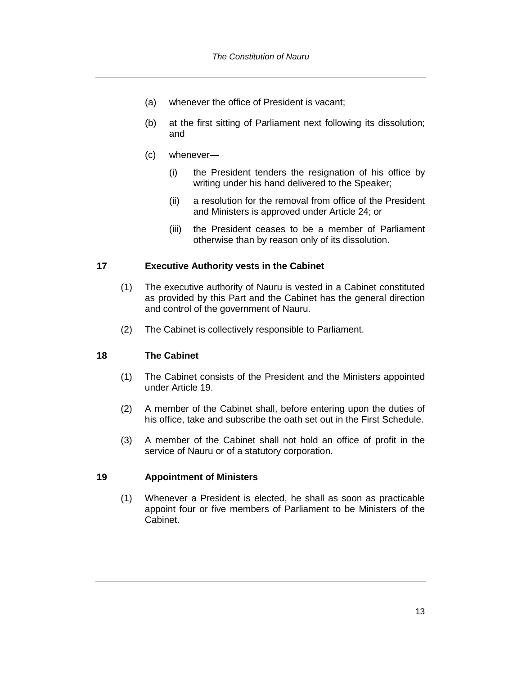- (a) whenever the office of President is vacant;
- (b) at the first sitting of Parliament next following its dissolution; and
- (c) whenever—
	- (i) the President tenders the resignation of his office by writing under his hand delivered to the Speaker;
	- (ii) a resolution for the removal from office of the President and Ministers is approved under Article 24; or
	- (iii) the President ceases to be a member of Parliament otherwise than by reason only of its dissolution.

#### **17 Executive Authority vests in the Cabinet**

- (1) The executive authority of Nauru is vested in a Cabinet constituted as provided by this Part and the Cabinet has the general direction and control of the government of Nauru.
- (2) The Cabinet is collectively responsible to Parliament.

#### **18 The Cabinet**

- (1) The Cabinet consists of the President and the Ministers appointed under Article 19.
- (2) A member of the Cabinet shall, before entering upon the duties of his office, take and subscribe the oath set out in the First Schedule.
- (3) A member of the Cabinet shall not hold an office of profit in the service of Nauru or of a statutory corporation.

#### **19 Appointment of Ministers**

(1) Whenever a President is elected, he shall as soon as practicable appoint four or five members of Parliament to be Ministers of the Cabinet.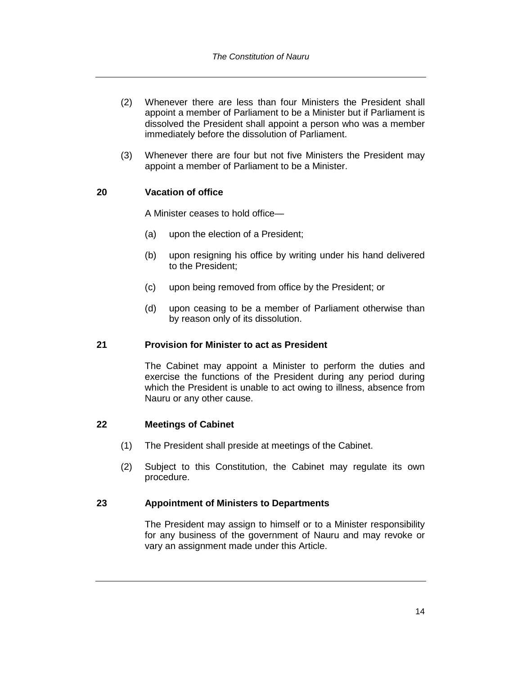- (2) Whenever there are less than four Ministers the President shall appoint a member of Parliament to be a Minister but if Parliament is dissolved the President shall appoint a person who was a member immediately before the dissolution of Parliament.
- (3) Whenever there are four but not five Ministers the President may appoint a member of Parliament to be a Minister.

# **20 Vacation of office**

A Minister ceases to hold office—

- (a) upon the election of a President;
- (b) upon resigning his office by writing under his hand delivered to the President;
- (c) upon being removed from office by the President; or
- (d) upon ceasing to be a member of Parliament otherwise than by reason only of its dissolution.

#### **21 Provision for Minister to act as President**

The Cabinet may appoint a Minister to perform the duties and exercise the functions of the President during any period during which the President is unable to act owing to illness, absence from Nauru or any other cause.

#### **22 Meetings of Cabinet**

- (1) The President shall preside at meetings of the Cabinet.
- (2) Subject to this Constitution, the Cabinet may regulate its own procedure.

# **23 Appointment of Ministers to Departments**

The President may assign to himself or to a Minister responsibility for any business of the government of Nauru and may revoke or vary an assignment made under this Article.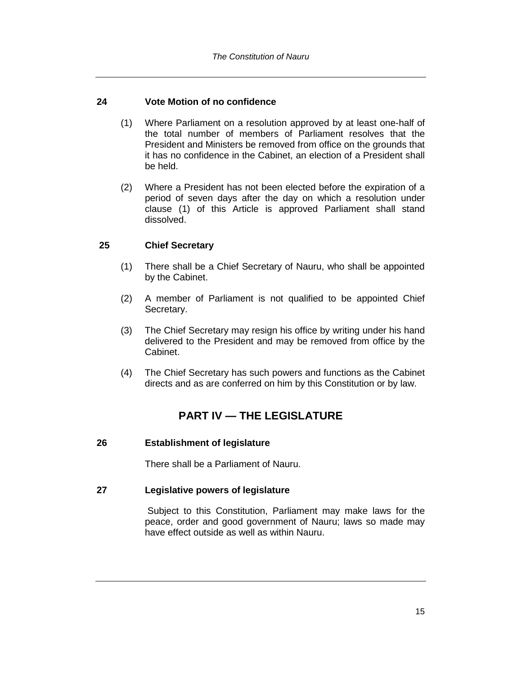#### **24 Vote Motion of no confidence**

- (1) Where Parliament on a resolution approved by at least one-half of the total number of members of Parliament resolves that the President and Ministers be removed from office on the grounds that it has no confidence in the Cabinet, an election of a President shall be held.
- (2) Where a President has not been elected before the expiration of a period of seven days after the day on which a resolution under clause (1) of this Article is approved Parliament shall stand dissolved.

# **25 Chief Secretary**

- (1) There shall be a Chief Secretary of Nauru, who shall be appointed by the Cabinet.
- (2) A member of Parliament is not qualified to be appointed Chief Secretary.
- (3) The Chief Secretary may resign his office by writing under his hand delivered to the President and may be removed from office by the Cabinet.
- (4) The Chief Secretary has such powers and functions as the Cabinet directs and as are conferred on him by this Constitution or by law.

# **PART IV — THE LEGISLATURE**

#### **26 Establishment of legislature**

There shall be a Parliament of Nauru.

#### **27 Legislative powers of legislature**

Subject to this Constitution, Parliament may make laws for the peace, order and good government of Nauru; laws so made may have effect outside as well as within Nauru.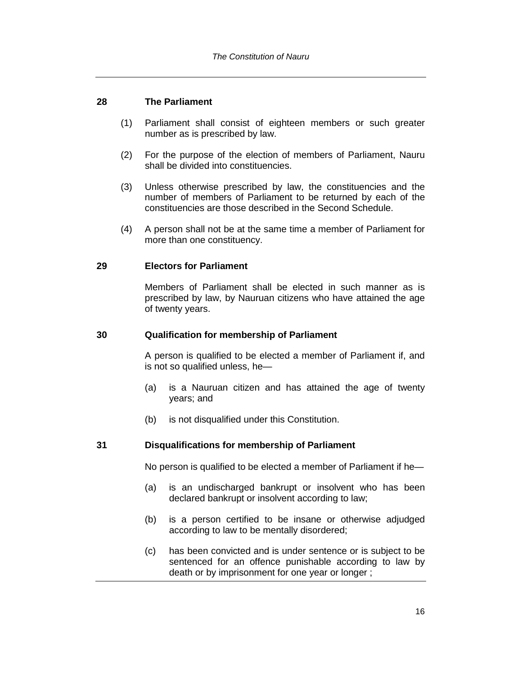#### **28 The Parliament**

- (1) Parliament shall consist of eighteen members or such greater number as is prescribed by law.
- (2) For the purpose of the election of members of Parliament, Nauru shall be divided into constituencies.
- (3) Unless otherwise prescribed by law, the constituencies and the number of members of Parliament to be returned by each of the constituencies are those described in the Second Schedule.
- (4) A person shall not be at the same time a member of Parliament for more than one constituency.

#### **29 Electors for Parliament**

Members of Parliament shall be elected in such manner as is prescribed by law, by Nauruan citizens who have attained the age of twenty years.

#### **30 Qualification for membership of Parliament**

A person is qualified to be elected a member of Parliament if, and is not so qualified unless, he—

- (a) is a Nauruan citizen and has attained the age of twenty years; and
- (b) is not disqualified under this Constitution.

#### **31 Disqualifications for membership of Parliament**

No person is qualified to be elected a member of Parliament if he—

- (a) is an undischarged bankrupt or insolvent who has been declared bankrupt or insolvent according to law;
- (b) is a person certified to be insane or otherwise adjudged according to law to be mentally disordered;
- (c) has been convicted and is under sentence or is subject to be sentenced for an offence punishable according to law by death or by imprisonment for one year or longer ;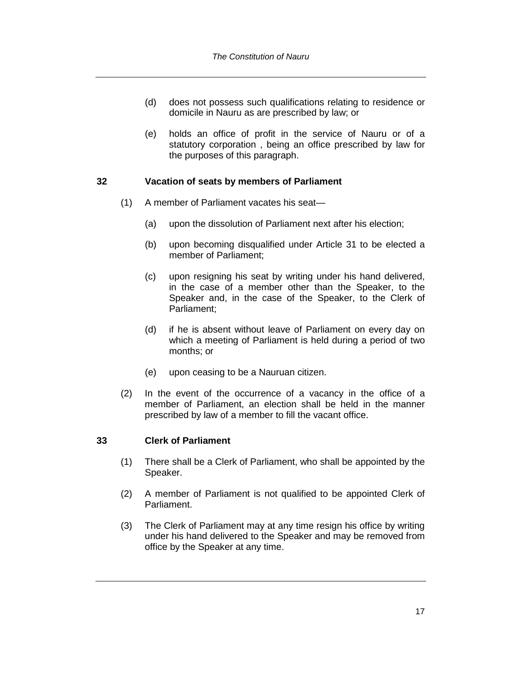- (d) does not possess such qualifications relating to residence or domicile in Nauru as are prescribed by law; or
- (e) holds an office of profit in the service of Nauru or of a statutory corporation , being an office prescribed by law for the purposes of this paragraph.

#### **32 Vacation of seats by members of Parliament**

- (1) A member of Parliament vacates his seat—
	- (a) upon the dissolution of Parliament next after his election;
	- (b) upon becoming disqualified under Article 31 to be elected a member of Parliament;
	- (c) upon resigning his seat by writing under his hand delivered, in the case of a member other than the Speaker, to the Speaker and, in the case of the Speaker, to the Clerk of Parliament;
	- (d) if he is absent without leave of Parliament on every day on which a meeting of Parliament is held during a period of two months; or
	- (e) upon ceasing to be a Nauruan citizen.
- (2) In the event of the occurrence of a vacancy in the office of a member of Parliament, an election shall be held in the manner prescribed by law of a member to fill the vacant office.

# **33 Clerk of Parliament**

- (1) There shall be a Clerk of Parliament, who shall be appointed by the Speaker.
- (2) A member of Parliament is not qualified to be appointed Clerk of Parliament.
- (3) The Clerk of Parliament may at any time resign his office by writing under his hand delivered to the Speaker and may be removed from office by the Speaker at any time.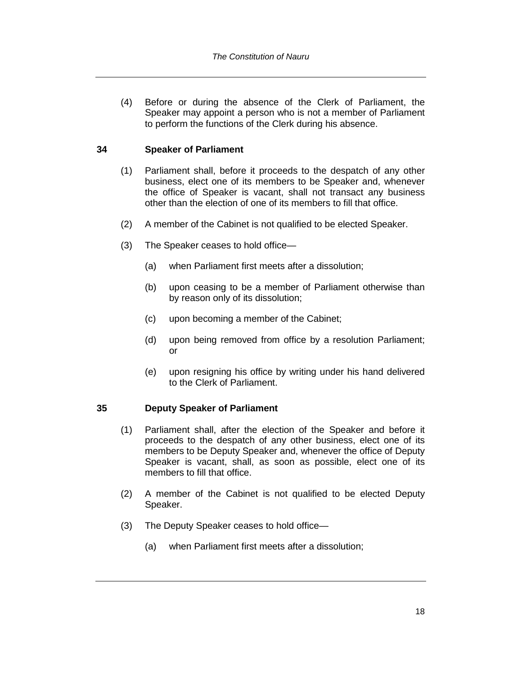(4) Before or during the absence of the Clerk of Parliament, the Speaker may appoint a person who is not a member of Parliament to perform the functions of the Clerk during his absence.

### **34 Speaker of Parliament**

- (1) Parliament shall, before it proceeds to the despatch of any other business, elect one of its members to be Speaker and, whenever the office of Speaker is vacant, shall not transact any business other than the election of one of its members to fill that office.
- (2) A member of the Cabinet is not qualified to be elected Speaker.
- (3) The Speaker ceases to hold office—
	- (a) when Parliament first meets after a dissolution;
	- (b) upon ceasing to be a member of Parliament otherwise than by reason only of its dissolution;
	- (c) upon becoming a member of the Cabinet;
	- (d) upon being removed from office by a resolution Parliament; or
	- (e) upon resigning his office by writing under his hand delivered to the Clerk of Parliament.

#### **35 Deputy Speaker of Parliament**

- (1) Parliament shall, after the election of the Speaker and before it proceeds to the despatch of any other business, elect one of its members to be Deputy Speaker and, whenever the office of Deputy Speaker is vacant, shall, as soon as possible, elect one of its members to fill that office.
- (2) A member of the Cabinet is not qualified to be elected Deputy Speaker.
- (3) The Deputy Speaker ceases to hold office—
	- (a) when Parliament first meets after a dissolution;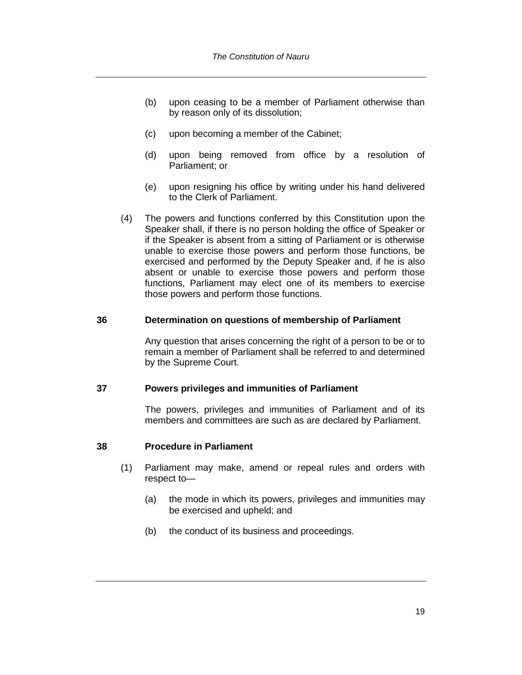- (b) upon ceasing to be a member of Parliament otherwise than by reason only of its dissolution;
- (c) upon becoming a member of the Cabinet;
- (d) upon being removed from office by a resolution of Parliament; or
- (e) upon resigning his office by writing under his hand delivered to the Clerk of Parliament.
- (4) The powers and functions conferred by this Constitution upon the Speaker shall, if there is no person holding the office of Speaker or if the Speaker is absent from a sitting of Parliament or is otherwise unable to exercise those powers and perform those functions, be exercised and performed by the Deputy Speaker and, if he is also absent or unable to exercise those powers and perform those functions, Parliament may elect one of its members to exercise those powers and perform those functions.

#### **36 Determination on questions of membership of Parliament**

Any question that arises concerning the right of a person to be or to remain a member of Parliament shall be referred to and determined by the Supreme Court.

# **37 Powers privileges and immunities of Parliament**

The powers, privileges and immunities of Parliament and of its members and committees are such as are declared by Parliament.

#### **38 Procedure in Parliament**

- (1) Parliament may make, amend or repeal rules and orders with respect to—
	- (a) the mode in which its powers, privileges and immunities may be exercised and upheld; and
	- (b) the conduct of its business and proceedings.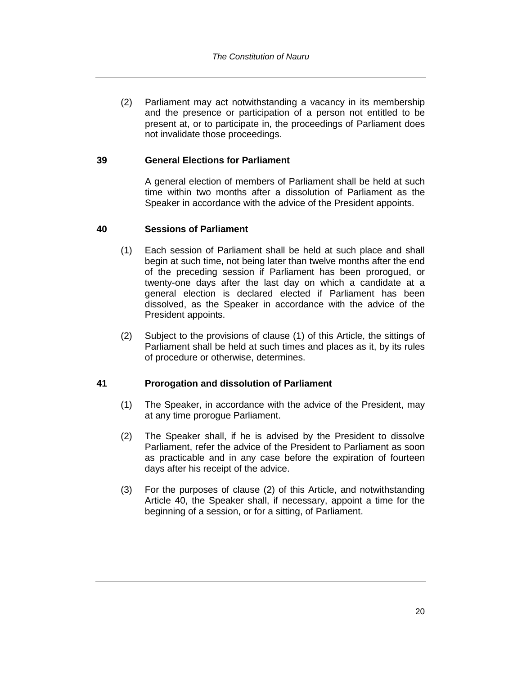(2) Parliament may act notwithstanding a vacancy in its membership and the presence or participation of a person not entitled to be present at, or to participate in, the proceedings of Parliament does not invalidate those proceedings.

### **39 General Elections for Parliament**

A general election of members of Parliament shall be held at such time within two months after a dissolution of Parliament as the Speaker in accordance with the advice of the President appoints.

#### **40 Sessions of Parliament**

- (1) Each session of Parliament shall be held at such place and shall begin at such time, not being later than twelve months after the end of the preceding session if Parliament has been prorogued, or twenty-one days after the last day on which a candidate at a general election is declared elected if Parliament has been dissolved, as the Speaker in accordance with the advice of the President appoints.
- (2) Subject to the provisions of clause (1) of this Article, the sittings of Parliament shall be held at such times and places as it, by its rules of procedure or otherwise, determines.

#### **41 Prorogation and dissolution of Parliament**

- (1) The Speaker, in accordance with the advice of the President, may at any time prorogue Parliament.
- (2) The Speaker shall, if he is advised by the President to dissolve Parliament, refer the advice of the President to Parliament as soon as practicable and in any case before the expiration of fourteen days after his receipt of the advice.
- (3) For the purposes of clause (2) of this Article, and notwithstanding Article 40, the Speaker shall, if necessary, appoint a time for the beginning of a session, or for a sitting, of Parliament.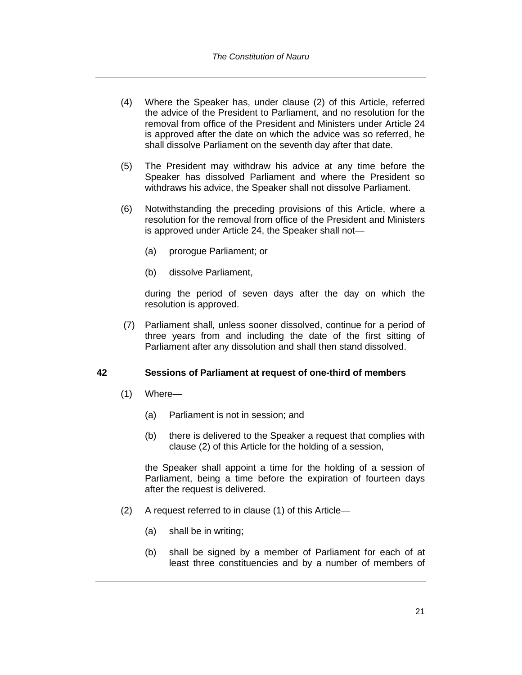- (4) Where the Speaker has, under clause (2) of this Article, referred the advice of the President to Parliament, and no resolution for the removal from office of the President and Ministers under Article 24 is approved after the date on which the advice was so referred, he shall dissolve Parliament on the seventh day after that date.
- (5) The President may withdraw his advice at any time before the Speaker has dissolved Parliament and where the President so withdraws his advice, the Speaker shall not dissolve Parliament.
- (6) Notwithstanding the preceding provisions of this Article, where a resolution for the removal from office of the President and Ministers is approved under Article 24, the Speaker shall not—
	- (a) prorogue Parliament; or
	- (b) dissolve Parliament,

during the period of seven days after the day on which the resolution is approved.

(7) Parliament shall, unless sooner dissolved, continue for a period of three years from and including the date of the first sitting of Parliament after any dissolution and shall then stand dissolved.

#### **42 Sessions of Parliament at request of one-third of members**

- (1) Where—
	- (a) Parliament is not in session; and
	- (b) there is delivered to the Speaker a request that complies with clause (2) of this Article for the holding of a session,

the Speaker shall appoint a time for the holding of a session of Parliament, being a time before the expiration of fourteen days after the request is delivered.

- (2) A request referred to in clause (1) of this Article—
	- (a) shall be in writing;
	- (b) shall be signed by a member of Parliament for each of at least three constituencies and by a number of members of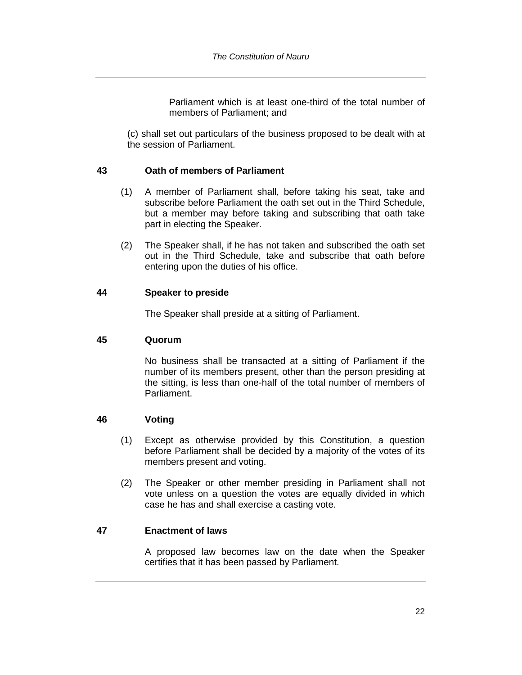Parliament which is at least one-third of the total number of members of Parliament; and

(c) shall set out particulars of the business proposed to be dealt with at the session of Parliament.

#### **43 Oath of members of Parliament**

- (1) A member of Parliament shall, before taking his seat, take and subscribe before Parliament the oath set out in the Third Schedule, but a member may before taking and subscribing that oath take part in electing the Speaker.
- (2) The Speaker shall, if he has not taken and subscribed the oath set out in the Third Schedule, take and subscribe that oath before entering upon the duties of his office.

#### **44 Speaker to preside**

The Speaker shall preside at a sitting of Parliament.

#### **45 Quorum**

No business shall be transacted at a sitting of Parliament if the number of its members present, other than the person presiding at the sitting, is less than one-half of the total number of members of Parliament.

#### **46 Voting**

- (1) Except as otherwise provided by this Constitution, a question before Parliament shall be decided by a majority of the votes of its members present and voting.
- (2) The Speaker or other member presiding in Parliament shall not vote unless on a question the votes are equally divided in which case he has and shall exercise a casting vote.

# **47 Enactment of laws**

A proposed law becomes law on the date when the Speaker certifies that it has been passed by Parliament.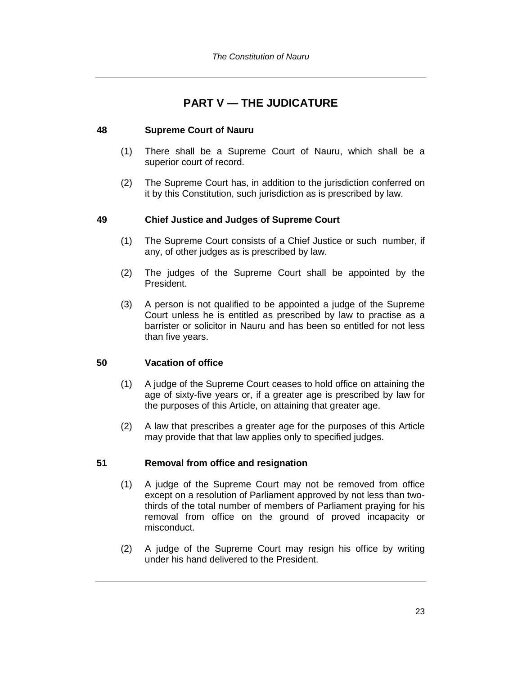# **PART V — THE JUDICATURE**

### **48 Supreme Court of Nauru**

- (1) There shall be a Supreme Court of Nauru, which shall be a superior court of record.
- (2) The Supreme Court has, in addition to the jurisdiction conferred on it by this Constitution, such jurisdiction as is prescribed by law.

#### **49 Chief Justice and Judges of Supreme Court**

- (1) The Supreme Court consists of a Chief Justice or such number, if any, of other judges as is prescribed by law.
- (2) The judges of the Supreme Court shall be appointed by the President.
- (3) A person is not qualified to be appointed a judge of the Supreme Court unless he is entitled as prescribed by law to practise as a barrister or solicitor in Nauru and has been so entitled for not less than five years.

#### **50 Vacation of office**

- (1) A judge of the Supreme Court ceases to hold office on attaining the age of sixty-five years or, if a greater age is prescribed by law for the purposes of this Article, on attaining that greater age.
- (2) A law that prescribes a greater age for the purposes of this Article may provide that that law applies only to specified judges.

# **51 Removal from office and resignation**

- (1) A judge of the Supreme Court may not be removed from office except on a resolution of Parliament approved by not less than twothirds of the total number of members of Parliament praying for his removal from office on the ground of proved incapacity or misconduct.
- (2) A judge of the Supreme Court may resign his office by writing under his hand delivered to the President.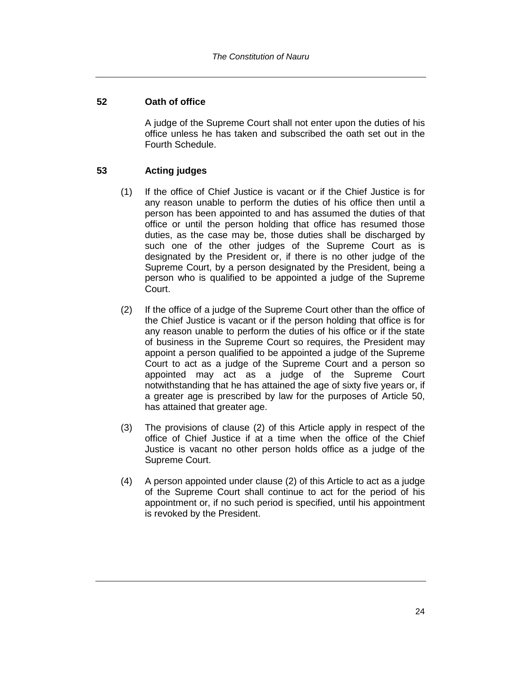# **52 Oath of office**

A judge of the Supreme Court shall not enter upon the duties of his office unless he has taken and subscribed the oath set out in the Fourth Schedule.

# **53 Acting judges**

- (1) If the office of Chief Justice is vacant or if the Chief Justice is for any reason unable to perform the duties of his office then until a person has been appointed to and has assumed the duties of that office or until the person holding that office has resumed those duties, as the case may be, those duties shall be discharged by such one of the other judges of the Supreme Court as is designated by the President or, if there is no other judge of the Supreme Court, by a person designated by the President, being a person who is qualified to be appointed a judge of the Supreme Court.
- (2) If the office of a judge of the Supreme Court other than the office of the Chief Justice is vacant or if the person holding that office is for any reason unable to perform the duties of his office or if the state of business in the Supreme Court so requires, the President may appoint a person qualified to be appointed a judge of the Supreme Court to act as a judge of the Supreme Court and a person so appointed may act as a judge of the Supreme Court notwithstanding that he has attained the age of sixty five years or, if a greater age is prescribed by law for the purposes of Article 50, has attained that greater age.
- (3) The provisions of clause (2) of this Article apply in respect of the office of Chief Justice if at a time when the office of the Chief Justice is vacant no other person holds office as a judge of the Supreme Court.
- (4) A person appointed under clause (2) of this Article to act as a judge of the Supreme Court shall continue to act for the period of his appointment or, if no such period is specified, until his appointment is revoked by the President.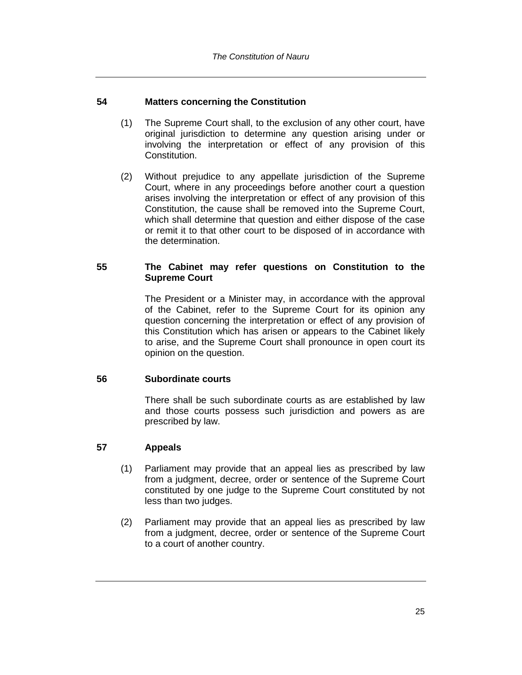### **54 Matters concerning the Constitution**

- (1) The Supreme Court shall, to the exclusion of any other court, have original jurisdiction to determine any question arising under or involving the interpretation or effect of any provision of this Constitution.
- (2) Without prejudice to any appellate jurisdiction of the Supreme Court, where in any proceedings before another court a question arises involving the interpretation or effect of any provision of this Constitution, the cause shall be removed into the Supreme Court, which shall determine that question and either dispose of the case or remit it to that other court to be disposed of in accordance with the determination.

#### **55 The Cabinet may refer questions on Constitution to the Supreme Court**

The President or a Minister may, in accordance with the approval of the Cabinet, refer to the Supreme Court for its opinion any question concerning the interpretation or effect of any provision of this Constitution which has arisen or appears to the Cabinet likely to arise, and the Supreme Court shall pronounce in open court its opinion on the question.

#### **56 Subordinate courts**

There shall be such subordinate courts as are established by law and those courts possess such jurisdiction and powers as are prescribed by law.

# **57 Appeals**

- (1) Parliament may provide that an appeal lies as prescribed by law from a judgment, decree, order or sentence of the Supreme Court constituted by one judge to the Supreme Court constituted by not less than two judges.
- (2) Parliament may provide that an appeal lies as prescribed by law from a judgment, decree, order or sentence of the Supreme Court to a court of another country.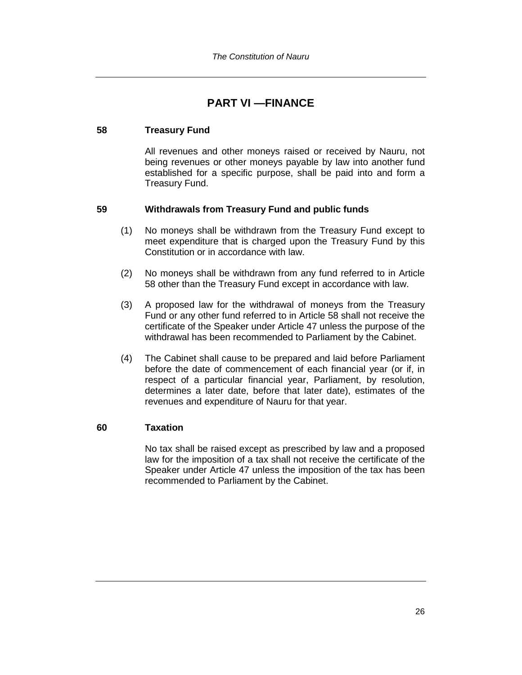# **PART VI —FINANCE**

### **58 Treasury Fund**

All revenues and other moneys raised or received by Nauru, not being revenues or other moneys payable by law into another fund established for a specific purpose, shall be paid into and form a Treasury Fund.

# **59 Withdrawals from Treasury Fund and public funds**

- (1) No moneys shall be withdrawn from the Treasury Fund except to meet expenditure that is charged upon the Treasury Fund by this Constitution or in accordance with law.
- (2) No moneys shall be withdrawn from any fund referred to in Article 58 other than the Treasury Fund except in accordance with law.
- (3) A proposed law for the withdrawal of moneys from the Treasury Fund or any other fund referred to in Article 58 shall not receive the certificate of the Speaker under Article 47 unless the purpose of the withdrawal has been recommended to Parliament by the Cabinet.
- (4) The Cabinet shall cause to be prepared and laid before Parliament before the date of commencement of each financial year (or if, in respect of a particular financial year, Parliament, by resolution, determines a later date, before that later date), estimates of the revenues and expenditure of Nauru for that year.

#### **60 Taxation**

No tax shall be raised except as prescribed by law and a proposed law for the imposition of a tax shall not receive the certificate of the Speaker under Article 47 unless the imposition of the tax has been recommended to Parliament by the Cabinet.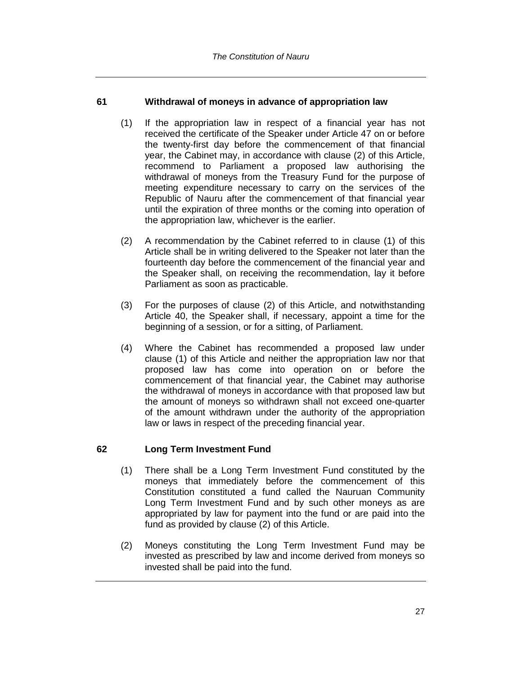### **61 Withdrawal of moneys in advance of appropriation law**

- (1) If the appropriation law in respect of a financial year has not received the certificate of the Speaker under Article 47 on or before the twenty-first day before the commencement of that financial year, the Cabinet may, in accordance with clause (2) of this Article, recommend to Parliament a proposed law authorising the withdrawal of moneys from the Treasury Fund for the purpose of meeting expenditure necessary to carry on the services of the Republic of Nauru after the commencement of that financial year until the expiration of three months or the coming into operation of the appropriation law, whichever is the earlier.
- (2) A recommendation by the Cabinet referred to in clause (1) of this Article shall be in writing delivered to the Speaker not later than the fourteenth day before the commencement of the financial year and the Speaker shall, on receiving the recommendation, lay it before Parliament as soon as practicable.
- (3) For the purposes of clause (2) of this Article, and notwithstanding Article 40, the Speaker shall, if necessary, appoint a time for the beginning of a session, or for a sitting, of Parliament.
- (4) Where the Cabinet has recommended a proposed law under clause (1) of this Article and neither the appropriation law nor that proposed law has come into operation on or before the commencement of that financial year, the Cabinet may authorise the withdrawal of moneys in accordance with that proposed law but the amount of moneys so withdrawn shall not exceed one-quarter of the amount withdrawn under the authority of the appropriation law or laws in respect of the preceding financial year.

# **62 Long Term Investment Fund**

- (1) There shall be a Long Term Investment Fund constituted by the moneys that immediately before the commencement of this Constitution constituted a fund called the Nauruan Community Long Term Investment Fund and by such other moneys as are appropriated by law for payment into the fund or are paid into the fund as provided by clause (2) of this Article.
- (2) Moneys constituting the Long Term Investment Fund may be invested as prescribed by law and income derived from moneys so invested shall be paid into the fund.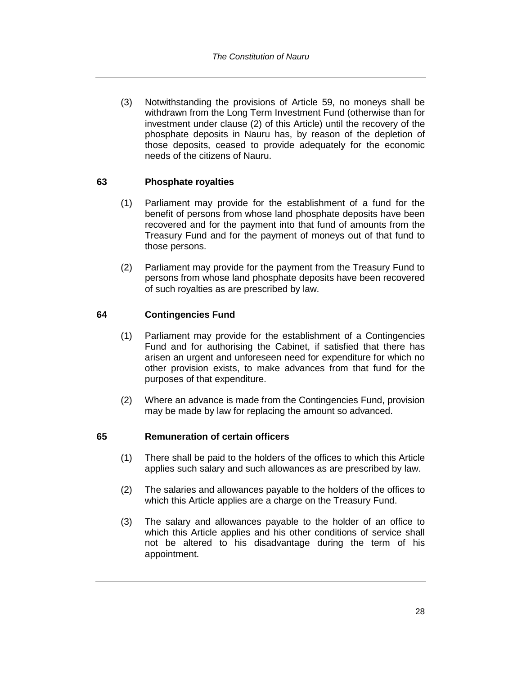(3) Notwithstanding the provisions of Article 59, no moneys shall be withdrawn from the Long Term Investment Fund (otherwise than for investment under clause (2) of this Article) until the recovery of the phosphate deposits in Nauru has, by reason of the depletion of those deposits, ceased to provide adequately for the economic needs of the citizens of Nauru.

#### **63 Phosphate royalties**

- (1) Parliament may provide for the establishment of a fund for the benefit of persons from whose land phosphate deposits have been recovered and for the payment into that fund of amounts from the Treasury Fund and for the payment of moneys out of that fund to those persons.
- (2) Parliament may provide for the payment from the Treasury Fund to persons from whose land phosphate deposits have been recovered of such royalties as are prescribed by law.

#### **64 Contingencies Fund**

- (1) Parliament may provide for the establishment of a Contingencies Fund and for authorising the Cabinet, if satisfied that there has arisen an urgent and unforeseen need for expenditure for which no other provision exists, to make advances from that fund for the purposes of that expenditure.
- (2) Where an advance is made from the Contingencies Fund, provision may be made by law for replacing the amount so advanced.

# **65 Remuneration of certain officers**

- (1) There shall be paid to the holders of the offices to which this Article applies such salary and such allowances as are prescribed by law.
- (2) The salaries and allowances payable to the holders of the offices to which this Article applies are a charge on the Treasury Fund.
- (3) The salary and allowances payable to the holder of an office to which this Article applies and his other conditions of service shall not be altered to his disadvantage during the term of his appointment.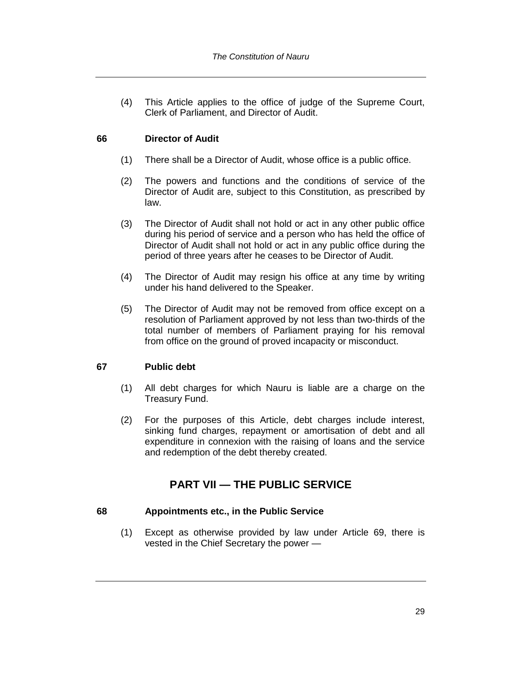(4) This Article applies to the office of judge of the Supreme Court, Clerk of Parliament, and Director of Audit.

# **66 Director of Audit**

- (1) There shall be a Director of Audit, whose office is a public office.
- (2) The powers and functions and the conditions of service of the Director of Audit are, subject to this Constitution, as prescribed by law.
- (3) The Director of Audit shall not hold or act in any other public office during his period of service and a person who has held the office of Director of Audit shall not hold or act in any public office during the period of three years after he ceases to be Director of Audit.
- (4) The Director of Audit may resign his office at any time by writing under his hand delivered to the Speaker.
- (5) The Director of Audit may not be removed from office except on a resolution of Parliament approved by not less than two-thirds of the total number of members of Parliament praying for his removal from office on the ground of proved incapacity or misconduct.

#### **67 Public debt**

- (1) All debt charges for which Nauru is liable are a charge on the Treasury Fund.
- (2) For the purposes of this Article, debt charges include interest, sinking fund charges, repayment or amortisation of debt and all expenditure in connexion with the raising of loans and the service and redemption of the debt thereby created.

# **PART VII — THE PUBLIC SERVICE**

#### **68 Appointments etc., in the Public Service**

(1) Except as otherwise provided by law under Article 69, there is vested in the Chief Secretary the power —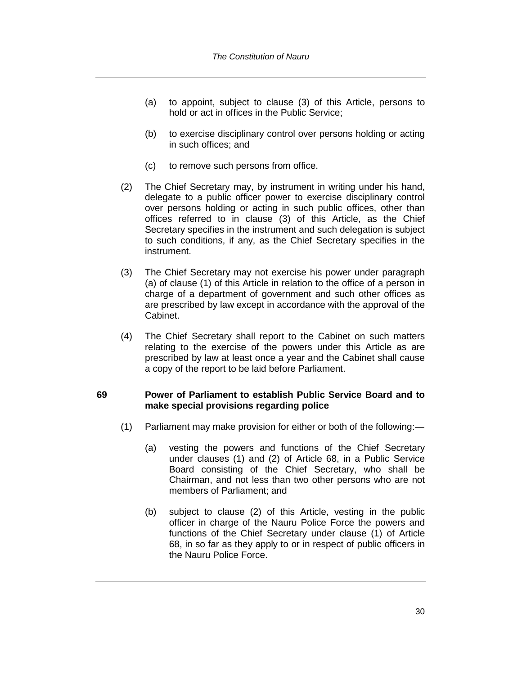- (a) to appoint, subject to clause (3) of this Article, persons to hold or act in offices in the Public Service;
- (b) to exercise disciplinary control over persons holding or acting in such offices; and
- (c) to remove such persons from office.
- (2) The Chief Secretary may, by instrument in writing under his hand, delegate to a public officer power to exercise disciplinary control over persons holding or acting in such public offices, other than offices referred to in clause (3) of this Article, as the Chief Secretary specifies in the instrument and such delegation is subject to such conditions, if any, as the Chief Secretary specifies in the instrument.
- (3) The Chief Secretary may not exercise his power under paragraph (a) of clause (1) of this Article in relation to the office of a person in charge of a department of government and such other offices as are prescribed by law except in accordance with the approval of the Cabinet.
- (4) The Chief Secretary shall report to the Cabinet on such matters relating to the exercise of the powers under this Article as are prescribed by law at least once a year and the Cabinet shall cause a copy of the report to be laid before Parliament.

#### **69 Power of Parliament to establish Public Service Board and to make special provisions regarding police**

- (1) Parliament may make provision for either or both of the following:—
	- (a) vesting the powers and functions of the Chief Secretary under clauses (1) and (2) of Article 68, in a Public Service Board consisting of the Chief Secretary, who shall be Chairman, and not less than two other persons who are not members of Parliament; and
	- (b) subject to clause (2) of this Article, vesting in the public officer in charge of the Nauru Police Force the powers and functions of the Chief Secretary under clause (1) of Article 68, in so far as they apply to or in respect of public officers in the Nauru Police Force.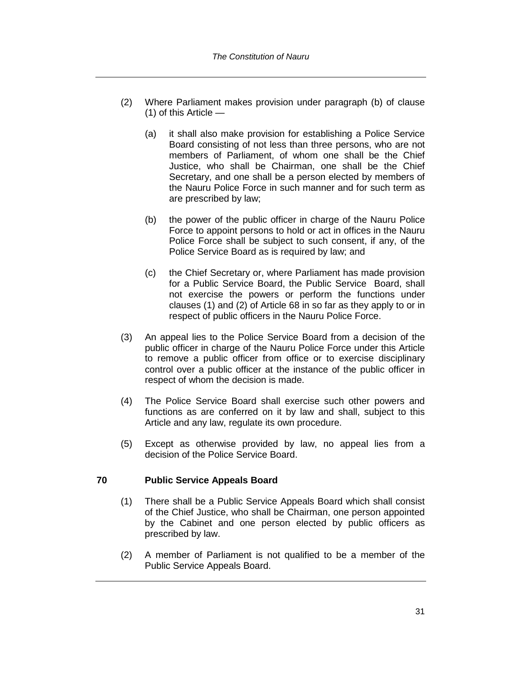- (2) Where Parliament makes provision under paragraph (b) of clause (1) of this Article —
	- (a) it shall also make provision for establishing a Police Service Board consisting of not less than three persons, who are not members of Parliament, of whom one shall be the Chief Justice, who shall be Chairman, one shall be the Chief Secretary, and one shall be a person elected by members of the Nauru Police Force in such manner and for such term as are prescribed by law;
	- (b) the power of the public officer in charge of the Nauru Police Force to appoint persons to hold or act in offices in the Nauru Police Force shall be subject to such consent, if any, of the Police Service Board as is required by law; and
	- (c) the Chief Secretary or, where Parliament has made provision for a Public Service Board, the Public Service Board, shall not exercise the powers or perform the functions under clauses (1) and (2) of Article 68 in so far as they apply to or in respect of public officers in the Nauru Police Force.
- (3) An appeal lies to the Police Service Board from a decision of the public officer in charge of the Nauru Police Force under this Article to remove a public officer from office or to exercise disciplinary control over a public officer at the instance of the public officer in respect of whom the decision is made.
- (4) The Police Service Board shall exercise such other powers and functions as are conferred on it by law and shall, subject to this Article and any law, regulate its own procedure.
- (5) Except as otherwise provided by law, no appeal lies from a decision of the Police Service Board.

#### **70 Public Service Appeals Board**

- (1) There shall be a Public Service Appeals Board which shall consist of the Chief Justice, who shall be Chairman, one person appointed by the Cabinet and one person elected by public officers as prescribed by law.
- (2) A member of Parliament is not qualified to be a member of the Public Service Appeals Board.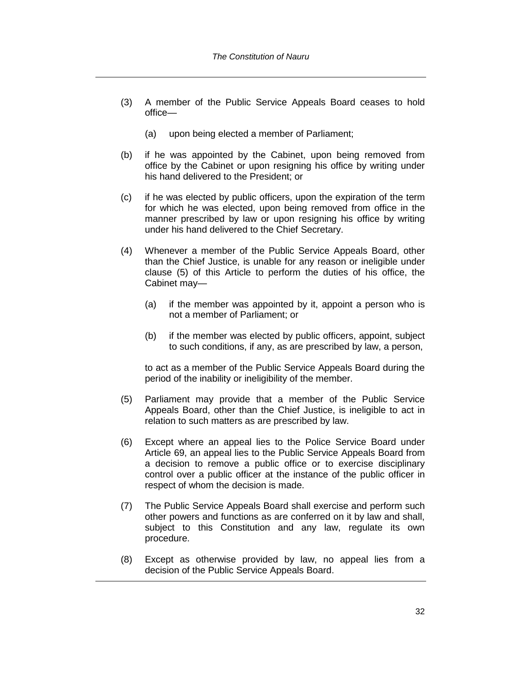- (3) A member of the Public Service Appeals Board ceases to hold office—
	- (a) upon being elected a member of Parliament;
- (b) if he was appointed by the Cabinet, upon being removed from office by the Cabinet or upon resigning his office by writing under his hand delivered to the President; or
- (c) if he was elected by public officers, upon the expiration of the term for which he was elected, upon being removed from office in the manner prescribed by law or upon resigning his office by writing under his hand delivered to the Chief Secretary.
- (4) Whenever a member of the Public Service Appeals Board, other than the Chief Justice, is unable for any reason or ineligible under clause (5) of this Article to perform the duties of his office, the Cabinet may—
	- (a) if the member was appointed by it, appoint a person who is not a member of Parliament; or
	- (b) if the member was elected by public officers, appoint, subject to such conditions, if any, as are prescribed by law, a person,

to act as a member of the Public Service Appeals Board during the period of the inability or ineligibility of the member.

- (5) Parliament may provide that a member of the Public Service Appeals Board, other than the Chief Justice, is ineligible to act in relation to such matters as are prescribed by law.
- (6) Except where an appeal lies to the Police Service Board under Article 69, an appeal lies to the Public Service Appeals Board from a decision to remove a public office or to exercise disciplinary control over a public officer at the instance of the public officer in respect of whom the decision is made.
- (7) The Public Service Appeals Board shall exercise and perform such other powers and functions as are conferred on it by law and shall, subject to this Constitution and any law, regulate its own procedure.
- (8) Except as otherwise provided by law, no appeal lies from a decision of the Public Service Appeals Board.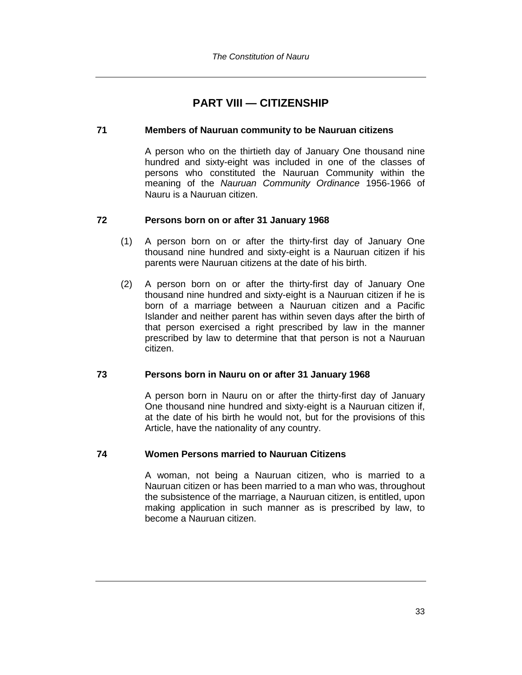# **PART VIII — CITIZENSHIP**

# **71 Members of Nauruan community to be Nauruan citizens**

A person who on the thirtieth day of January One thousand nine hundred and sixty-eight was included in one of the classes of persons who constituted the Nauruan Community within the meaning of the *Nauruan Community Ordinance* 1956-1966 of Nauru is a Nauruan citizen.

# **72 Persons born on or after 31 January 1968**

- (1) A person born on or after the thirty-first day of January One thousand nine hundred and sixty-eight is a Nauruan citizen if his parents were Nauruan citizens at the date of his birth.
- (2) A person born on or after the thirty-first day of January One thousand nine hundred and sixty-eight is a Nauruan citizen if he is born of a marriage between a Nauruan citizen and a Pacific Islander and neither parent has within seven days after the birth of that person exercised a right prescribed by law in the manner prescribed by law to determine that that person is not a Nauruan citizen.

#### **73 Persons born in Nauru on or after 31 January 1968**

A person born in Nauru on or after the thirty-first day of January One thousand nine hundred and sixty-eight is a Nauruan citizen if, at the date of his birth he would not, but for the provisions of this Article, have the nationality of any country.

#### **74 Women Persons married to Nauruan Citizens**

A woman, not being a Nauruan citizen, who is married to a Nauruan citizen or has been married to a man who was, throughout the subsistence of the marriage, a Nauruan citizen, is entitled, upon making application in such manner as is prescribed by law, to become a Nauruan citizen.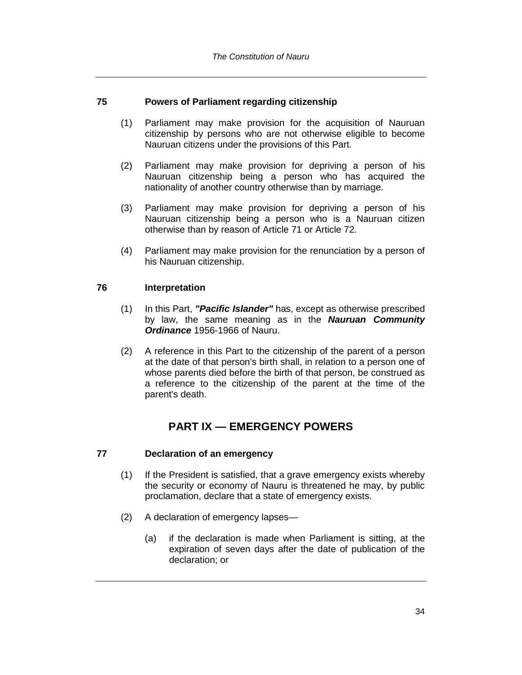#### **75 Powers of Parliament regarding citizenship**

- (1) Parliament may make provision for the acquisition of Nauruan citizenship by persons who are not otherwise eligible to become Nauruan citizens under the provisions of this Part.
- (2) Parliament may make provision for depriving a person of his Nauruan citizenship being a person who has acquired the nationality of another country otherwise than by marriage.
- (3) Parliament may make provision for depriving a person of his Nauruan citizenship being a person who is a Nauruan citizen otherwise than by reason of Article 71 or Article 72.
- (4) Parliament may make provision for the renunciation by a person of his Nauruan citizenship.

#### **76 Interpretation**

- (1) In this Part, *"Pacific Islander"* has, except as otherwise prescribed by law, the same meaning as in the *Nauruan Community Ordinance* 1956-1966 of Nauru.
- (2) A reference in this Part to the citizenship of the parent of a person at the date of that person's birth shall, in relation to a person one of whose parents died before the birth of that person, be construed as a reference to the citizenship of the parent at the time of the parent's death.

# **PART IX — EMERGENCY POWERS**

#### **77 Declaration of an emergency**

- (1) If the President is satisfied, that a grave emergency exists whereby the security or economy of Nauru is threatened he may, by public proclamation, declare that a state of emergency exists.
- (2) A declaration of emergency lapses—
	- (a) if the declaration is made when Parliament is sitting, at the expiration of seven days after the date of publication of the declaration; or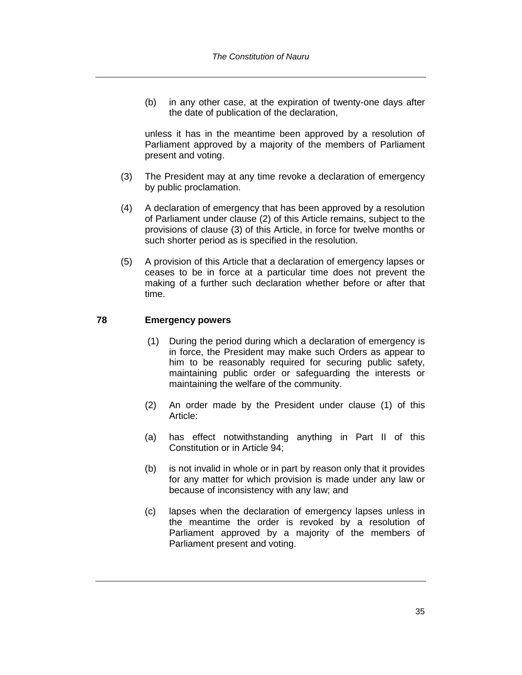(b) in any other case, at the expiration of twenty-one days after the date of publication of the declaration,

unless it has in the meantime been approved by a resolution of Parliament approved by a majority of the members of Parliament present and voting.

- (3) The President may at any time revoke a declaration of emergency by public proclamation.
- (4) A declaration of emergency that has been approved by a resolution of Parliament under clause (2) of this Article remains, subject to the provisions of clause (3) of this Article, in force for twelve months or such shorter period as is specified in the resolution.
- (5) A provision of this Article that a declaration of emergency lapses or ceases to be in force at a particular time does not prevent the making of a further such declaration whether before or after that time.

#### **78 Emergency powers**

- (1) During the period during which a declaration of emergency is in force, the President may make such Orders as appear to him to be reasonably required for securing public safety, maintaining public order or safeguarding the interests or maintaining the welfare of the community.
- (2) An order made by the President under clause (1) of this Article:
- (a) has effect notwithstanding anything in Part II of this Constitution or in Article 94;
- (b) is not invalid in whole or in part by reason only that it provides for any matter for which provision is made under any law or because of inconsistency with any law; and
- (c) lapses when the declaration of emergency lapses unless in the meantime the order is revoked by a resolution of Parliament approved by a majority of the members of Parliament present and voting.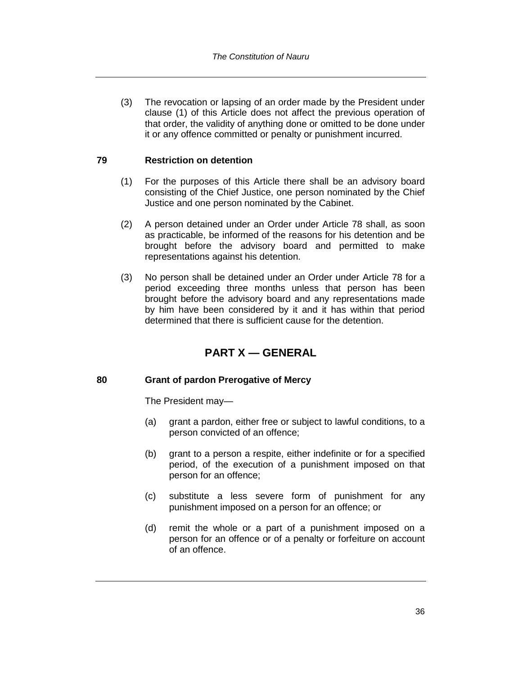(3) The revocation or lapsing of an order made by the President under clause (1) of this Article does not affect the previous operation of that order, the validity of anything done or omitted to be done under it or any offence committed or penalty or punishment incurred.

### **79 Restriction on detention**

- (1) For the purposes of this Article there shall be an advisory board consisting of the Chief Justice, one person nominated by the Chief Justice and one person nominated by the Cabinet.
- (2) A person detained under an Order under Article 78 shall, as soon as practicable, be informed of the reasons for his detention and be brought before the advisory board and permitted to make representations against his detention.
- (3) No person shall be detained under an Order under Article 78 for a period exceeding three months unless that person has been brought before the advisory board and any representations made by him have been considered by it and it has within that period determined that there is sufficient cause for the detention.

# **PART X — GENERAL**

# **80 Grant of pardon Prerogative of Mercy**

The President may—

- (a) grant a pardon, either free or subject to lawful conditions, to a person convicted of an offence;
- (b) grant to a person a respite, either indefinite or for a specified period, of the execution of a punishment imposed on that person for an offence;
- (c) substitute a less severe form of punishment for any punishment imposed on a person for an offence; or
- (d) remit the whole or a part of a punishment imposed on a person for an offence or of a penalty or forfeiture on account of an offence.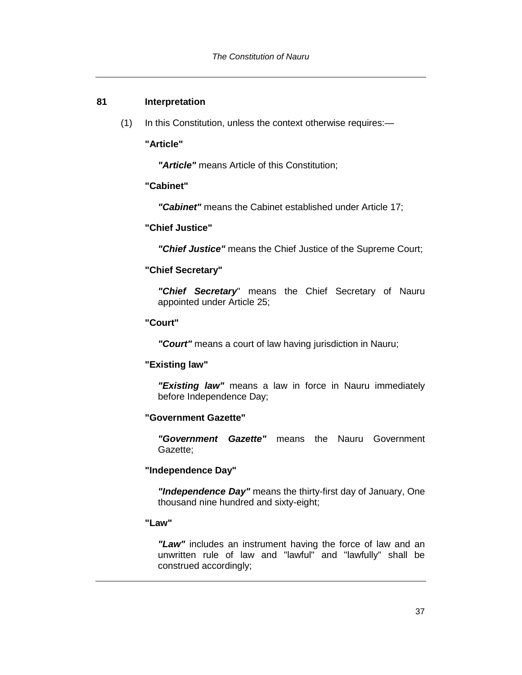#### **81 Interpretation**

(1) In this Constitution, unless the context otherwise requires:—

#### **"Article"**

*"Article"* means Article of this Constitution;

#### **"Cabinet"**

*"Cabinet"* means the Cabinet established under Article 17;

# **"Chief Justice"**

*"Chief Justice"* means the Chief Justice of the Supreme Court;

#### **"Chief Secretary"**

*"Chief Secretary*" means the Chief Secretary of Nauru appointed under Article 25;

#### **"Court"**

*"Court"* means a court of law having jurisdiction in Nauru;

# **"Existing law"**

*"Existing law"* means a law in force in Nauru immediately before Independence Day;

#### **"Government Gazette"**

*"Government Gazette"* means the Nauru Government Gazette;

# **"Independence Day"**

*"Independence Day"* means the thirty-first day of January, One thousand nine hundred and sixty-eight;

#### **"Law"**

*"Law"* includes an instrument having the force of law and an unwritten rule of law and "lawful" and "lawfully" shall be construed accordingly;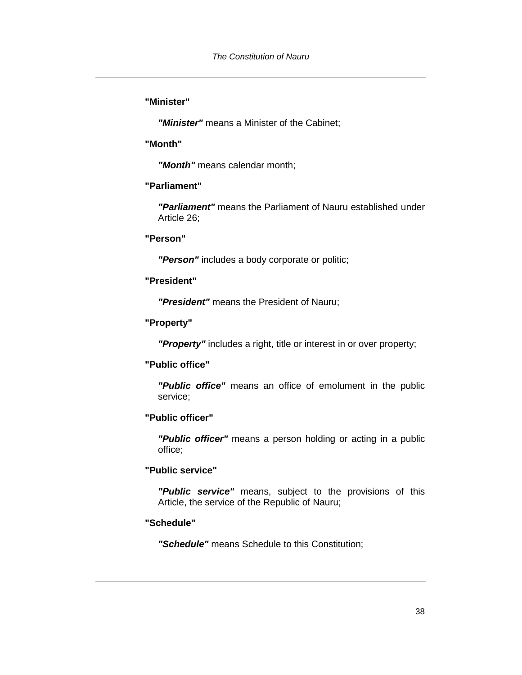# **"Minister"**

*"Minister"* means a Minister of the Cabinet;

#### **"Month"**

*"Month"* means calendar month;

### **"Parliament"**

*"Parliament"* means the Parliament of Nauru established under Article 26;

#### **"Person"**

*"Person"* includes a body corporate or politic;

### **"President"**

*"President"* means the President of Nauru;

#### **"Property"**

*"Property"* includes a right, title or interest in or over property;

#### **"Public office"**

*"Public office"* means an office of emolument in the public service;

# **"Public officer"**

*"Public officer"* means a person holding or acting in a public office;

#### **"Public service"**

*"Public service"* means, subject to the provisions of this Article, the service of the Republic of Nauru;

# **"Schedule"**

*"Schedule"* means Schedule to this Constitution;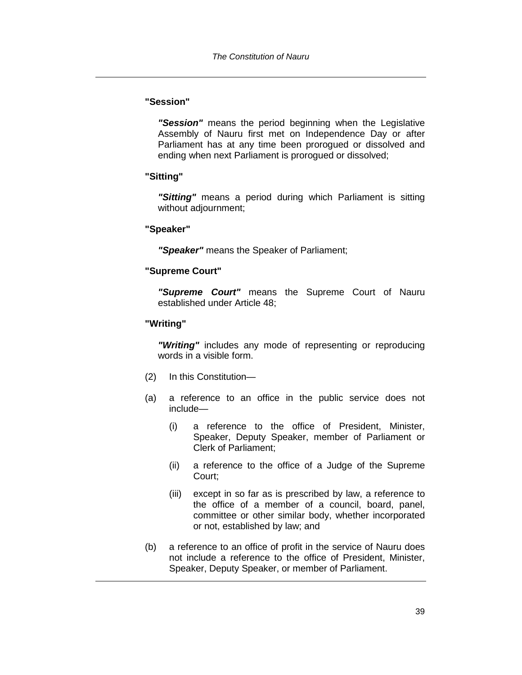# **"Session"**

*"Session"* means the period beginning when the Legislative Assembly of Nauru first met on Independence Day or after Parliament has at any time been prorogued or dissolved and ending when next Parliament is prorogued or dissolved;

#### **"Sitting"**

*"Sitting"* means a period during which Parliament is sitting without adjournment;

#### **"Speaker"**

*"Speaker"* means the Speaker of Parliament;

#### **"Supreme Court"**

*"Supreme Court"* means the Supreme Court of Nauru established under Article 48;

#### **"Writing"**

*"Writing"* includes any mode of representing or reproducing words in a visible form.

- (2) In this Constitution—
- (a) a reference to an office in the public service does not include—
	- (i) a reference to the office of President, Minister, Speaker, Deputy Speaker, member of Parliament or Clerk of Parliament;
	- (ii) a reference to the office of a Judge of the Supreme Court;
	- (iii) except in so far as is prescribed by law, a reference to the office of a member of a council, board, panel, committee or other similar body, whether incorporated or not, established by law; and
- (b) a reference to an office of profit in the service of Nauru does not include a reference to the office of President, Minister, Speaker, Deputy Speaker, or member of Parliament.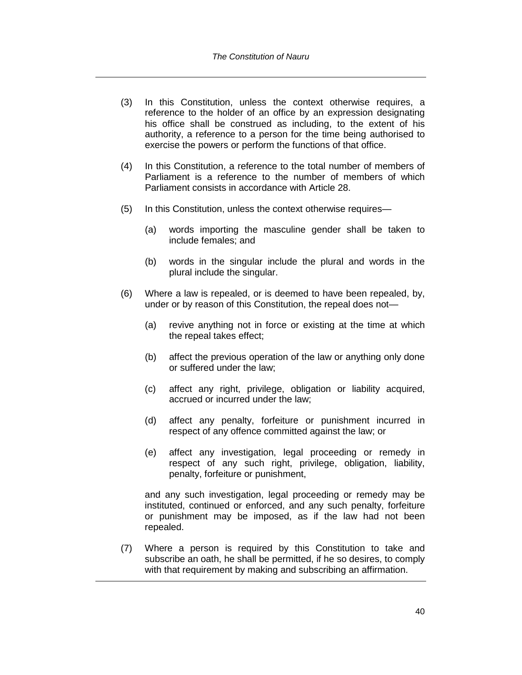- (3) In this Constitution, unless the context otherwise requires, a reference to the holder of an office by an expression designating his office shall be construed as including, to the extent of his authority, a reference to a person for the time being authorised to exercise the powers or perform the functions of that office.
- (4) In this Constitution, a reference to the total number of members of Parliament is a reference to the number of members of which Parliament consists in accordance with Article 28.
- (5) In this Constitution, unless the context otherwise requires—
	- (a) words importing the masculine gender shall be taken to include females; and
	- (b) words in the singular include the plural and words in the plural include the singular.
- (6) Where a law is repealed, or is deemed to have been repealed, by, under or by reason of this Constitution, the repeal does not—
	- (a) revive anything not in force or existing at the time at which the repeal takes effect;
	- (b) affect the previous operation of the law or anything only done or suffered under the law;
	- (c) affect any right, privilege, obligation or liability acquired, accrued or incurred under the law;
	- (d) affect any penalty, forfeiture or punishment incurred in respect of any offence committed against the law; or
	- (e) affect any investigation, legal proceeding or remedy in respect of any such right, privilege, obligation, liability, penalty, forfeiture or punishment,

and any such investigation, legal proceeding or remedy may be instituted, continued or enforced, and any such penalty, forfeiture or punishment may be imposed, as if the law had not been repealed.

(7) Where a person is required by this Constitution to take and subscribe an oath, he shall be permitted, if he so desires, to comply with that requirement by making and subscribing an affirmation.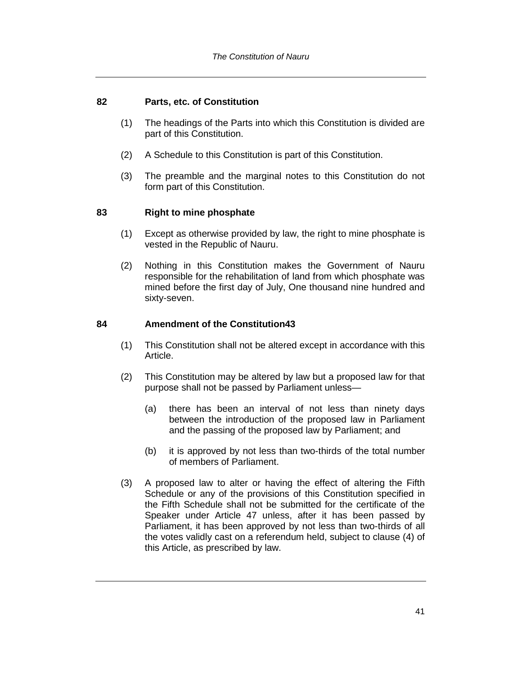#### **82 Parts, etc. of Constitution**

- (1) The headings of the Parts into which this Constitution is divided are part of this Constitution.
- (2) A Schedule to this Constitution is part of this Constitution.
- (3) The preamble and the marginal notes to this Constitution do not form part of this Constitution.

#### **83 Right to mine phosphate**

- (1) Except as otherwise provided by law, the right to mine phosphate is vested in the Republic of Nauru.
- (2) Nothing in this Constitution makes the Government of Nauru responsible for the rehabilitation of land from which phosphate was mined before the first day of July, One thousand nine hundred and sixty-seven.

### **84 Amendment of the Constitution43**

- (1) This Constitution shall not be altered except in accordance with this Article.
- (2) This Constitution may be altered by law but a proposed law for that purpose shall not be passed by Parliament unless—
	- (a) there has been an interval of not less than ninety days between the introduction of the proposed law in Parliament and the passing of the proposed law by Parliament; and
	- (b) it is approved by not less than two-thirds of the total number of members of Parliament.
- (3) A proposed law to alter or having the effect of altering the Fifth Schedule or any of the provisions of this Constitution specified in the Fifth Schedule shall not be submitted for the certificate of the Speaker under Article 47 unless, after it has been passed by Parliament, it has been approved by not less than two-thirds of all the votes validly cast on a referendum held, subject to clause (4) of this Article, as prescribed by law.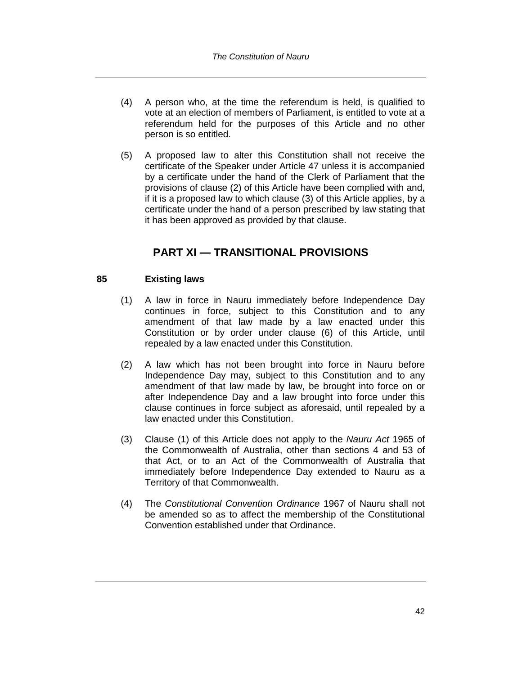- (4) A person who, at the time the referendum is held, is qualified to vote at an election of members of Parliament, is entitled to vote at a referendum held for the purposes of this Article and no other person is so entitled.
- (5) A proposed law to alter this Constitution shall not receive the certificate of the Speaker under Article 47 unless it is accompanied by a certificate under the hand of the Clerk of Parliament that the provisions of clause (2) of this Article have been complied with and, if it is a proposed law to which clause (3) of this Article applies, by a certificate under the hand of a person prescribed by law stating that it has been approved as provided by that clause.

# **PART XI — TRANSITIONAL PROVISIONS**

# **85 Existing laws**

- (1) A law in force in Nauru immediately before Independence Day continues in force, subject to this Constitution and to any amendment of that law made by a law enacted under this Constitution or by order under clause (6) of this Article, until repealed by a law enacted under this Constitution.
- (2) A law which has not been brought into force in Nauru before Independence Day may, subject to this Constitution and to any amendment of that law made by law, be brought into force on or after Independence Day and a law brought into force under this clause continues in force subject as aforesaid, until repealed by a law enacted under this Constitution.
- (3) Clause (1) of this Article does not apply to the *Nauru Act* 1965 of the Commonwealth of Australia, other than sections 4 and 53 of that Act, or to an Act of the Commonwealth of Australia that immediately before Independence Day extended to Nauru as a Territory of that Commonwealth.
- (4) The *Constitutional Convention Ordinance* 1967 of Nauru shall not be amended so as to affect the membership of the Constitutional Convention established under that Ordinance.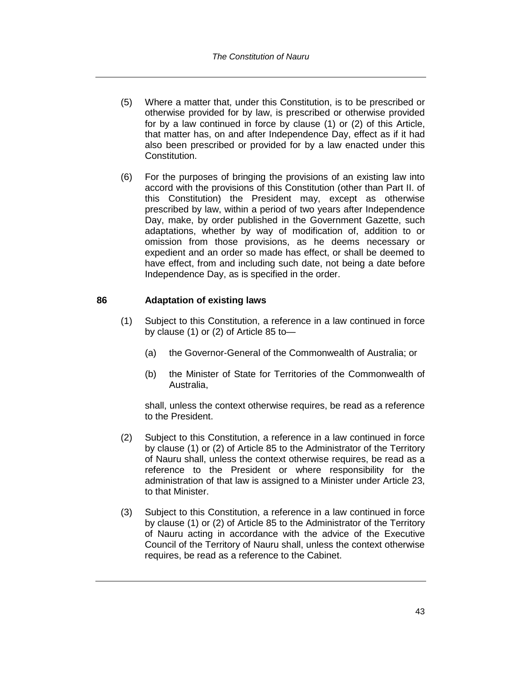- (5) Where a matter that, under this Constitution, is to be prescribed or otherwise provided for by law, is prescribed or otherwise provided for by a law continued in force by clause (1) or (2) of this Article, that matter has, on and after Independence Day, effect as if it had also been prescribed or provided for by a law enacted under this Constitution.
- (6) For the purposes of bringing the provisions of an existing law into accord with the provisions of this Constitution (other than Part II. of this Constitution) the President may, except as otherwise prescribed by law, within a period of two years after Independence Day, make, by order published in the Government Gazette, such adaptations, whether by way of modification of, addition to or omission from those provisions, as he deems necessary or expedient and an order so made has effect, or shall be deemed to have effect, from and including such date, not being a date before Independence Day, as is specified in the order.

#### **86 Adaptation of existing laws**

- (1) Subject to this Constitution, a reference in a law continued in force by clause (1) or (2) of Article 85 to—
	- (a) the Governor-General of the Commonwealth of Australia; or
	- (b) the Minister of State for Territories of the Commonwealth of Australia,

shall, unless the context otherwise requires, be read as a reference to the President.

- (2) Subject to this Constitution, a reference in a law continued in force by clause (1) or (2) of Article 85 to the Administrator of the Territory of Nauru shall, unless the context otherwise requires, be read as a reference to the President or where responsibility for the administration of that law is assigned to a Minister under Article 23, to that Minister.
- (3) Subject to this Constitution, a reference in a law continued in force by clause (1) or (2) of Article 85 to the Administrator of the Territory of Nauru acting in accordance with the advice of the Executive Council of the Territory of Nauru shall, unless the context otherwise requires, be read as a reference to the Cabinet.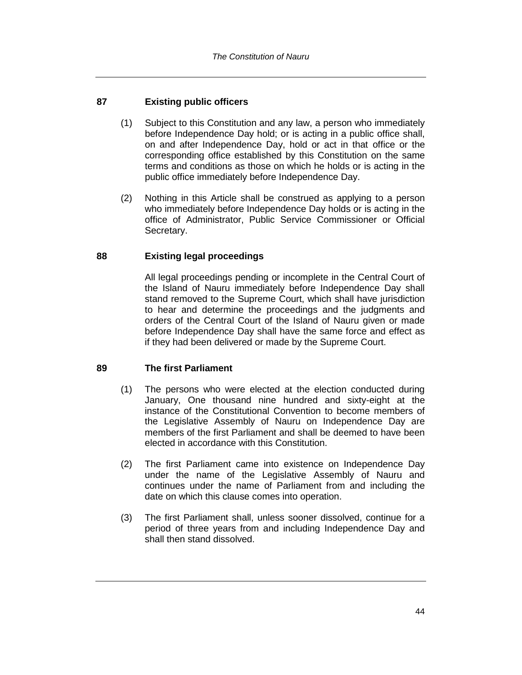# **87 Existing public officers**

- (1) Subject to this Constitution and any law, a person who immediately before Independence Day hold; or is acting in a public office shall, on and after Independence Day, hold or act in that office or the corresponding office established by this Constitution on the same terms and conditions as those on which he holds or is acting in the public office immediately before Independence Day.
- (2) Nothing in this Article shall be construed as applying to a person who immediately before Independence Day holds or is acting in the office of Administrator, Public Service Commissioner or Official Secretary.

#### **88 Existing legal proceedings**

All legal proceedings pending or incomplete in the Central Court of the Island of Nauru immediately before Independence Day shall stand removed to the Supreme Court, which shall have jurisdiction to hear and determine the proceedings and the judgments and orders of the Central Court of the Island of Nauru given or made before Independence Day shall have the same force and effect as if they had been delivered or made by the Supreme Court.

#### **89 The first Parliament**

- (1) The persons who were elected at the election conducted during January, One thousand nine hundred and sixty-eight at the instance of the Constitutional Convention to become members of the Legislative Assembly of Nauru on Independence Day are members of the first Parliament and shall be deemed to have been elected in accordance with this Constitution.
- (2) The first Parliament came into existence on Independence Day under the name of the Legislative Assembly of Nauru and continues under the name of Parliament from and including the date on which this clause comes into operation.
- (3) The first Parliament shall, unless sooner dissolved, continue for a period of three years from and including Independence Day and shall then stand dissolved.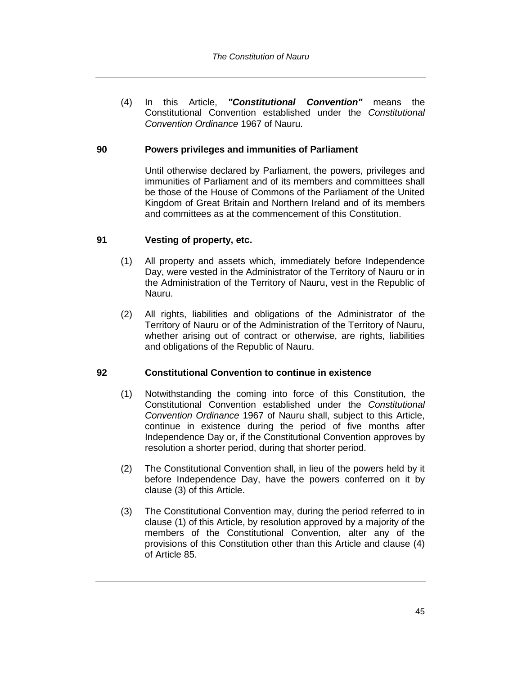(4) In this Article, *"Constitutional Convention"* means the Constitutional Convention established under the *Constitutional Convention Ordinance* 1967 of Nauru.

### **90 Powers privileges and immunities of Parliament**

Until otherwise declared by Parliament, the powers, privileges and immunities of Parliament and of its members and committees shall be those of the House of Commons of the Parliament of the United Kingdom of Great Britain and Northern Ireland and of its members and committees as at the commencement of this Constitution.

#### **91 Vesting of property, etc.**

- (1) All property and assets which, immediately before Independence Day, were vested in the Administrator of the Territory of Nauru or in the Administration of the Territory of Nauru, vest in the Republic of Nauru.
- (2) All rights, liabilities and obligations of the Administrator of the Territory of Nauru or of the Administration of the Territory of Nauru, whether arising out of contract or otherwise, are rights, liabilities and obligations of the Republic of Nauru.

#### **92 Constitutional Convention to continue in existence**

- (1) Notwithstanding the coming into force of this Constitution, the Constitutional Convention established under the *Constitutional Convention Ordinance* 1967 of Nauru shall, subject to this Article, continue in existence during the period of five months after Independence Day or, if the Constitutional Convention approves by resolution a shorter period, during that shorter period.
- (2) The Constitutional Convention shall, in lieu of the powers held by it before Independence Day, have the powers conferred on it by clause (3) of this Article.
- (3) The Constitutional Convention may, during the period referred to in clause (1) of this Article, by resolution approved by a majority of the members of the Constitutional Convention, alter any of the provisions of this Constitution other than this Article and clause (4) of Article 85.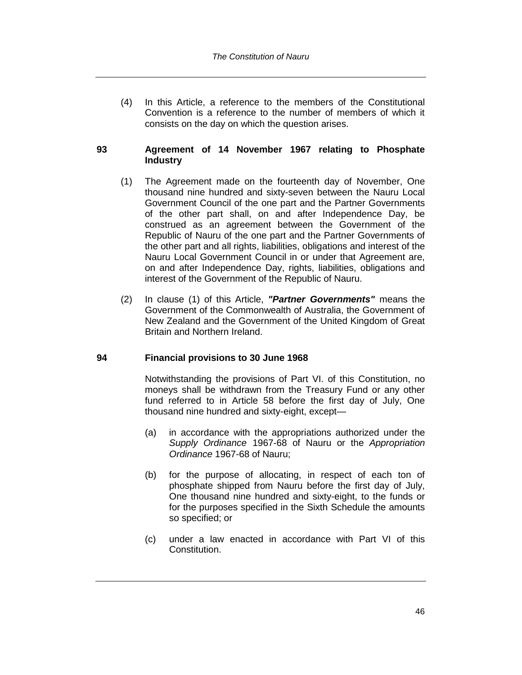(4) In this Article, a reference to the members of the Constitutional Convention is a reference to the number of members of which it consists on the day on which the question arises.

### **93 Agreement of 14 November 1967 relating to Phosphate Industry**

- (1) The Agreement made on the fourteenth day of November, One thousand nine hundred and sixty-seven between the Nauru Local Government Council of the one part and the Partner Governments of the other part shall, on and after Independence Day, be construed as an agreement between the Government of the Republic of Nauru of the one part and the Partner Governments of the other part and all rights, liabilities, obligations and interest of the Nauru Local Government Council in or under that Agreement are, on and after Independence Day, rights, liabilities, obligations and interest of the Government of the Republic of Nauru.
- (2) In clause (1) of this Article, *"Partner Governments"* means the Government of the Commonwealth of Australia, the Government of New Zealand and the Government of the United Kingdom of Great Britain and Northern Ireland.

# **94 Financial provisions to 30 June 1968**

Notwithstanding the provisions of Part VI. of this Constitution, no moneys shall be withdrawn from the Treasury Fund or any other fund referred to in Article 58 before the first day of July, One thousand nine hundred and sixty-eight, except—

- (a) in accordance with the appropriations authorized under the *Supply Ordinance* 1967-68 of Nauru or the *Appropriation Ordinance* 1967-68 of Nauru;
- (b) for the purpose of allocating, in respect of each ton of phosphate shipped from Nauru before the first day of July, One thousand nine hundred and sixty-eight, to the funds or for the purposes specified in the Sixth Schedule the amounts so specified; or
- (c) under a law enacted in accordance with Part VI of this Constitution.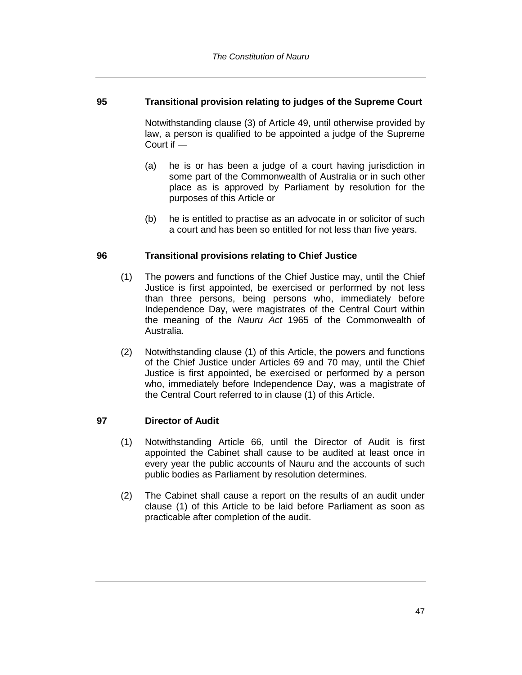### **95 Transitional provision relating to judges of the Supreme Court**

Notwithstanding clause (3) of Article 49, until otherwise provided by law, a person is qualified to be appointed a judge of the Supreme Court if —

- (a) he is or has been a judge of a court having jurisdiction in some part of the Commonwealth of Australia or in such other place as is approved by Parliament by resolution for the purposes of this Article or
- (b) he is entitled to practise as an advocate in or solicitor of such a court and has been so entitled for not less than five years.

#### **96 Transitional provisions relating to Chief Justice**

- (1) The powers and functions of the Chief Justice may, until the Chief Justice is first appointed, be exercised or performed by not less than three persons, being persons who, immediately before Independence Day, were magistrates of the Central Court within the meaning of the *Nauru Act* 1965 of the Commonwealth of Australia.
- (2) Notwithstanding clause (1) of this Article, the powers and functions of the Chief Justice under Articles 69 and 70 may, until the Chief Justice is first appointed, be exercised or performed by a person who, immediately before Independence Day, was a magistrate of the Central Court referred to in clause (1) of this Article.

# **97 Director of Audit**

- (1) Notwithstanding Article 66, until the Director of Audit is first appointed the Cabinet shall cause to be audited at least once in every year the public accounts of Nauru and the accounts of such public bodies as Parliament by resolution determines.
- (2) The Cabinet shall cause a report on the results of an audit under clause (1) of this Article to be laid before Parliament as soon as practicable after completion of the audit.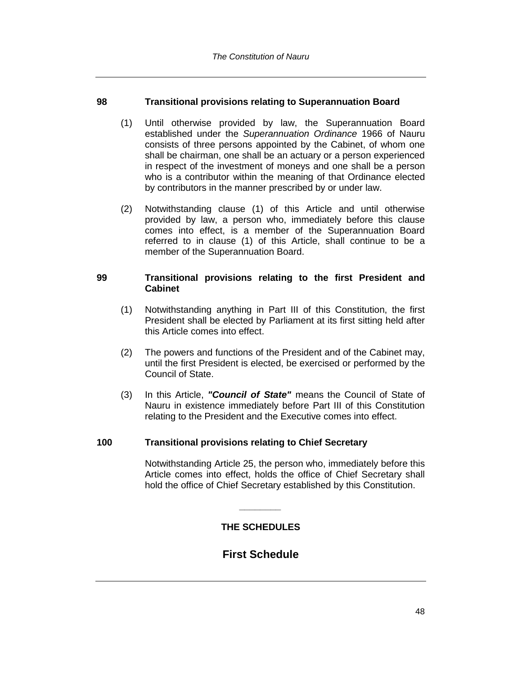#### **98 Transitional provisions relating to Superannuation Board**

- (1) Until otherwise provided by law, the Superannuation Board established under the *Superannuation Ordinance* 1966 of Nauru consists of three persons appointed by the Cabinet, of whom one shall be chairman, one shall be an actuary or a person experienced in respect of the investment of moneys and one shall be a person who is a contributor within the meaning of that Ordinance elected by contributors in the manner prescribed by or under law.
- (2) Notwithstanding clause (1) of this Article and until otherwise provided by law, a person who, immediately before this clause comes into effect, is a member of the Superannuation Board referred to in clause (1) of this Article, shall continue to be a member of the Superannuation Board.

#### **99 Transitional provisions relating to the first President and Cabinet**

- (1) Notwithstanding anything in Part III of this Constitution, the first President shall be elected by Parliament at its first sitting held after this Article comes into effect.
- (2) The powers and functions of the President and of the Cabinet may, until the first President is elected, be exercised or performed by the Council of State.
- (3) In this Article, *"Council of State"* means the Council of State of Nauru in existence immediately before Part III of this Constitution relating to the President and the Executive comes into effect.

# **100 Transitional provisions relating to Chief Secretary**

Notwithstanding Article 25, the person who, immediately before this Article comes into effect, holds the office of Chief Secretary shall hold the office of Chief Secretary established by this Constitution.

# **THE SCHEDULES**

*\_\_\_\_\_\_\_\_*

# **First Schedule**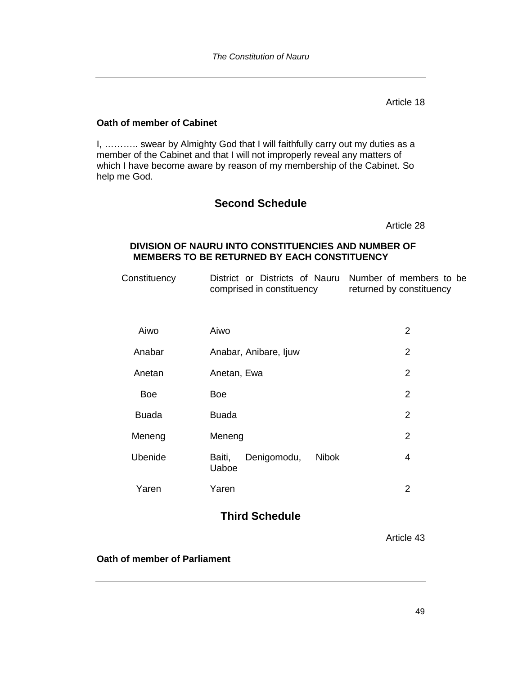Article 18

### **Oath of member of Cabinet**

I, ……….. swear by Almighty God that I will faithfully carry out my duties as a member of the Cabinet and that I will not improperly reveal any matters of which I have become aware by reason of my membership of the Cabinet. So help me God.

# **Second Schedule**

Article 28

# **DIVISION OF NAURU INTO CONSTITUENCIES AND NUMBER OF MEMBERS TO BE RETURNED BY EACH CONSTITUENCY**

| Constituency |  |                           |  |  | District or Districts of Nauru Number of members to be |  |
|--------------|--|---------------------------|--|--|--------------------------------------------------------|--|
|              |  | comprised in constituency |  |  | returned by constituency                               |  |

| Aiwo         | Aiwo                                           | $\overline{2}$        |
|--------------|------------------------------------------------|-----------------------|
| Anabar       | Anabar, Anibare, Ijuw                          | $\overline{2}$        |
| Anetan       | Anetan, Ewa                                    | 2                     |
| <b>Boe</b>   | <b>Boe</b>                                     | $\overline{2}$        |
| <b>Buada</b> | <b>Buada</b>                                   | $\mathbf{2}^{\prime}$ |
| Meneng       | Meneng                                         | $\overline{2}$        |
| Ubenide      | <b>Nibok</b><br>Denigomodu,<br>Baiti,<br>Uaboe | 4                     |
| Yaren        | Yaren                                          | 2                     |

# **Third Schedule**

Article 43

# **Oath of member of Parliament**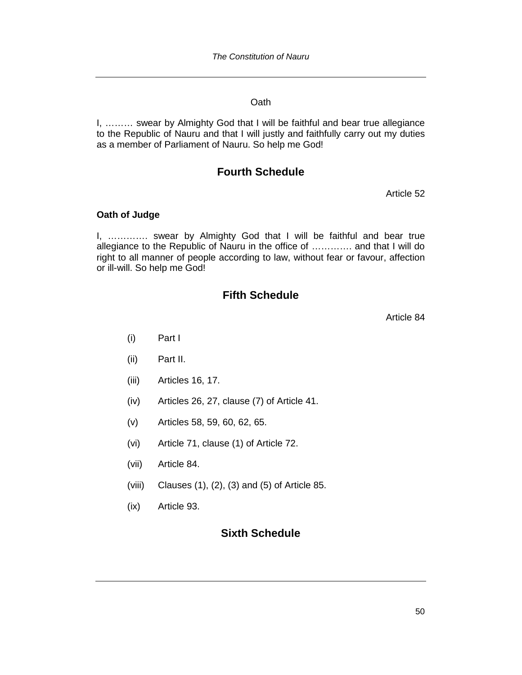#### **Oath**

I, ……… swear by Almighty God that I will be faithful and bear true allegiance to the Republic of Nauru and that I will justly and faithfully carry out my duties as a member of Parliament of Nauru. So help me God!

# **Fourth Schedule**

Article 52

#### **Oath of Judge**

I, …………. swear by Almighty God that I will be faithful and bear true allegiance to the Republic of Nauru in the office of …………. and that I will do right to all manner of people according to law, without fear or favour, affection or ill-will. So help me God!

# **Fifth Schedule**

Article 84

- (i) Part I
- (ii) Part II.
- (iii) Articles 16, 17.
- (iv) Articles 26, 27, clause (7) of Article 41.
- (v) Articles 58, 59, 60, 62, 65.
- (vi) Article 71, clause (1) of Article 72.
- (vii) Article 84.
- (viii) Clauses (1), (2), (3) and (5) of Article 85.
- (ix) Article 93.

# **Sixth Schedule**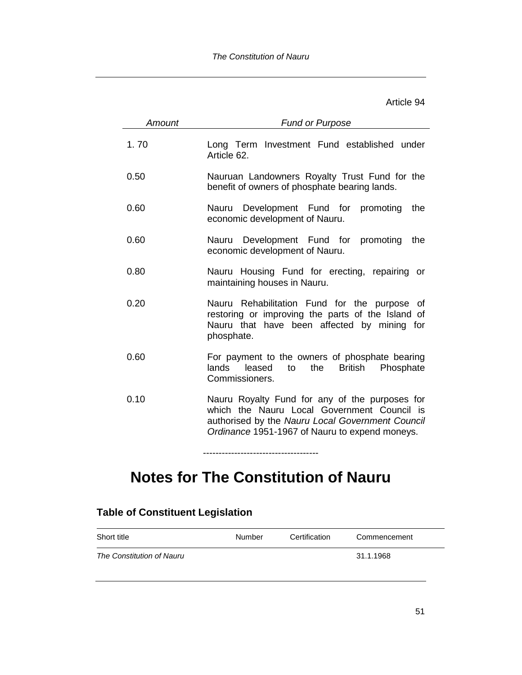Article 94

| Amount | <b>Fund or Purpose</b>                                                                                                                                                                              |
|--------|-----------------------------------------------------------------------------------------------------------------------------------------------------------------------------------------------------|
| 1.70   | Long Term Investment Fund established under<br>Article 62.                                                                                                                                          |
| 0.50   | Nauruan Landowners Royalty Trust Fund for the<br>benefit of owners of phosphate bearing lands.                                                                                                      |
| 0.60   | Nauru Development Fund for promoting<br>the<br>economic development of Nauru.                                                                                                                       |
| 0.60   | Nauru Development Fund for promoting<br>the<br>economic development of Nauru.                                                                                                                       |
| 0.80   | Nauru Housing Fund for erecting, repairing or<br>maintaining houses in Nauru.                                                                                                                       |
| 0.20   | Nauru Rehabilitation Fund for the purpose of<br>restoring or improving the parts of the Island of<br>Nauru that have been affected by mining for<br>phosphate.                                      |
| 0.60   | For payment to the owners of phosphate bearing<br>lands leased<br>the<br><b>British</b><br>to<br>Phosphate<br>Commissioners.                                                                        |
| 0.10   | Nauru Royalty Fund for any of the purposes for<br>which the Nauru Local Government Council is<br>authorised by the Nauru Local Government Council<br>Ordinance 1951-1967 of Nauru to expend moneys. |

# **Notes for The Constitution of Nauru**

# **Table of Constituent Legislation**

| Short title               | Number | Certification | Commencement |
|---------------------------|--------|---------------|--------------|
| The Constitution of Nauru |        |               | 31.1.1968    |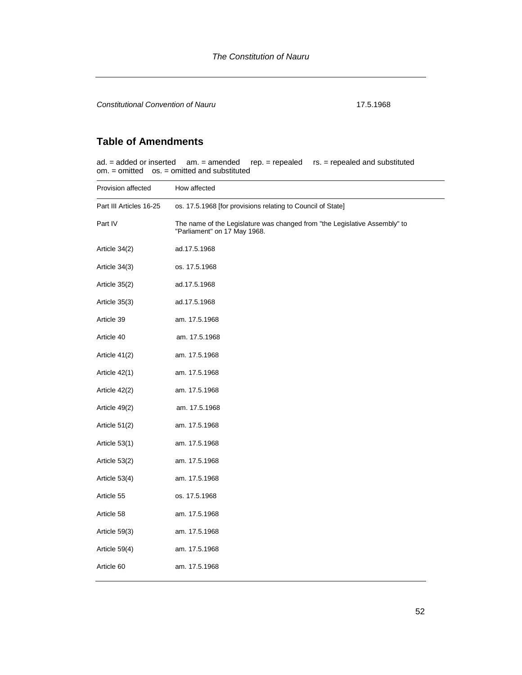**Constitutional Convention of Nauru 17.5.1968** 

# **Table of Amendments**

|  |                                                         | $ad. = added$ or inserted $am. = amended$ rep. $= repeated$ rs. $= repeated$ and substituted |
|--|---------------------------------------------------------|----------------------------------------------------------------------------------------------|
|  | $om = omitted \quad os = omitted \quad and substituted$ |                                                                                              |

| Provision affected      | How affected                                                                                               |
|-------------------------|------------------------------------------------------------------------------------------------------------|
| Part III Articles 16-25 | os. 17.5.1968 [for provisions relating to Council of State]                                                |
| Part IV                 | The name of the Legislature was changed from "the Legislative Assembly" to<br>"Parliament" on 17 May 1968. |
| Article 34(2)           | ad.17.5.1968                                                                                               |
| Article 34(3)           | os. 17.5.1968                                                                                              |
| Article 35(2)           | ad.17.5.1968                                                                                               |
| Article 35(3)           | ad.17.5.1968                                                                                               |
| Article 39              | am. 17.5.1968                                                                                              |
| Article 40              | am. 17.5.1968                                                                                              |
| Article 41(2)           | am. 17.5.1968                                                                                              |
| Article 42(1)           | am. 17.5.1968                                                                                              |
| Article 42(2)           | am. 17.5.1968                                                                                              |
| Article 49(2)           | am. 17.5.1968                                                                                              |
| Article 51(2)           | am. 17.5.1968                                                                                              |
| Article 53(1)           | am. 17.5.1968                                                                                              |
| Article 53(2)           | am. 17.5.1968                                                                                              |
| Article 53(4)           | am. 17.5.1968                                                                                              |
| Article 55              | os. 17.5.1968                                                                                              |
| Article 58              | am. 17.5.1968                                                                                              |
| Article 59(3)           | am. 17.5.1968                                                                                              |
| Article 59(4)           | am. 17.5.1968                                                                                              |
| Article 60              | am. 17.5.1968                                                                                              |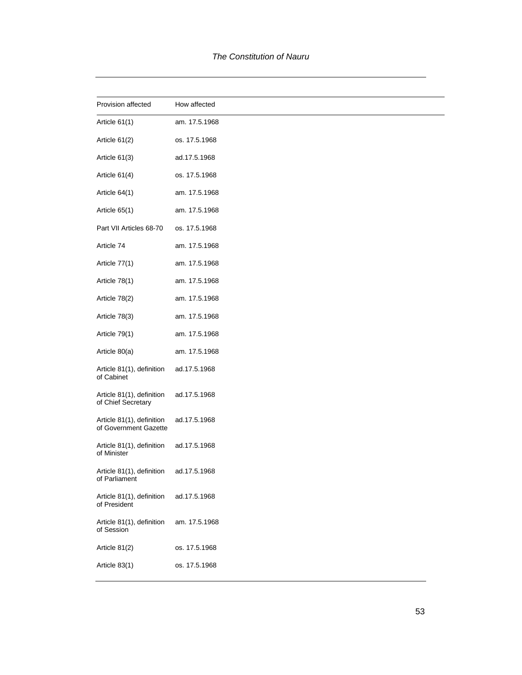| Provision affected                                 | How affected  |
|----------------------------------------------------|---------------|
| Article 61(1)                                      | am. 17.5.1968 |
| Article 61(2)                                      | os. 17.5.1968 |
| Article 61(3)                                      | ad.17.5.1968  |
| Article 61(4)                                      | os. 17.5.1968 |
| Article 64(1)                                      | am. 17.5.1968 |
| Article 65(1)                                      | am. 17.5.1968 |
| Part VII Articles 68-70                            | os. 17.5.1968 |
| Article 74                                         | am. 17.5.1968 |
| Article 77(1)                                      | am. 17.5.1968 |
| Article 78(1)                                      | am. 17.5.1968 |
| Article 78(2)                                      | am. 17.5.1968 |
| Article 78(3)                                      | am. 17.5.1968 |
| Article 79(1)                                      | am. 17.5.1968 |
| Article 80(a)                                      | am. 17.5.1968 |
| Article 81(1), definition<br>of Cabinet            | ad.17.5.1968  |
| Article 81(1), definition<br>of Chief Secretary    | ad.17.5.1968  |
| Article 81(1), definition<br>of Government Gazette | ad.17.5.1968  |
| Article 81(1), definition<br>of Minister           | ad.17.5.1968  |
| Article 81(1), definition<br>of Parliament         | ad.17.5.1968  |
| Article 81(1), definition<br>of President          | ad.17.5.1968  |
| Article 81(1), definition<br>of Session            | am. 17.5.1968 |
| Article 81(2)                                      | os. 17.5.1968 |
| Article 83(1)                                      | os. 17.5.1968 |